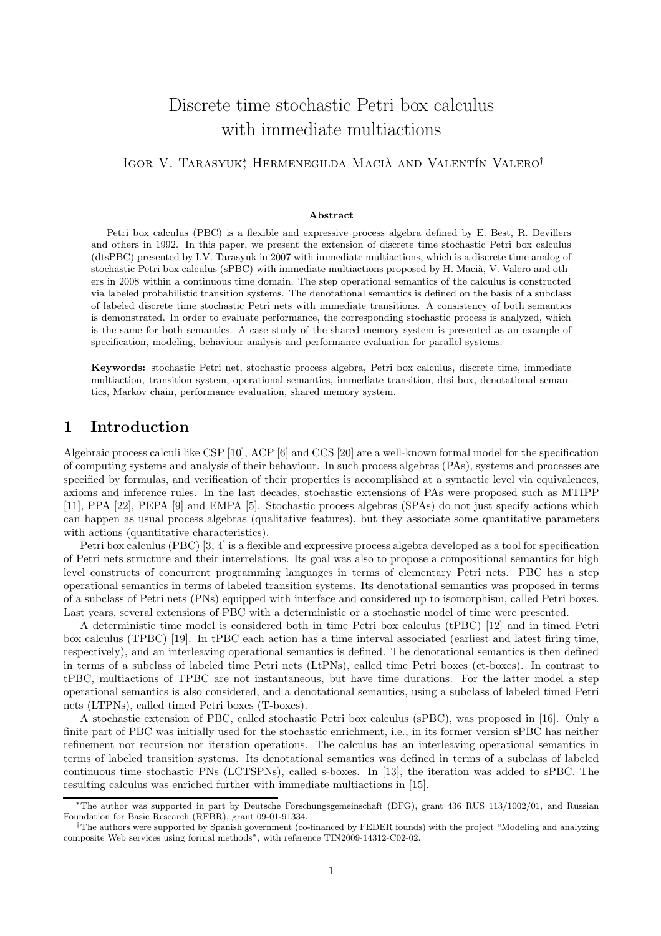# Discrete time stochastic Petri box calculus with immediate multiactions

IGOR V. TARASYUK<sup>\*</sup>, HERMENEGILDA MACIÀ AND VALENTÍN VALERO<sup>†</sup>

#### Abstract

Petri box calculus (PBC) is a flexible and expressive process algebra defined by E. Best, R. Devillers and others in 1992. In this paper, we present the extension of discrete time stochastic Petri box calculus (dtsPBC) presented by I.V. Tarasyuk in 2007 with immediate multiactions, which is a discrete time analog of stochastic Petri box calculus (sPBC) with immediate multiactions proposed by H. Macià, V. Valero and others in 2008 within a continuous time domain. The step operational semantics of the calculus is constructed via labeled probabilistic transition systems. The denotational semantics is defined on the basis of a subclass of labeled discrete time stochastic Petri nets with immediate transitions. A consistency of both semantics is demonstrated. In order to evaluate performance, the corresponding stochastic process is analyzed, which is the same for both semantics. A case study of the shared memory system is presented as an example of specification, modeling, behaviour analysis and performance evaluation for parallel systems.

Keywords: stochastic Petri net, stochastic process algebra, Petri box calculus, discrete time, immediate multiaction, transition system, operational semantics, immediate transition, dtsi-box, denotational semantics, Markov chain, performance evaluation, shared memory system.

### 1 Introduction

Algebraic process calculi like CSP [10], ACP [6] and CCS [20] are a well-known formal model for the specification of computing systems and analysis of their behaviour. In such process algebras (PAs), systems and processes are specified by formulas, and verification of their properties is accomplished at a syntactic level via equivalences, axioms and inference rules. In the last decades, stochastic extensions of PAs were proposed such as MTIPP [11], PPA [22], PEPA [9] and EMPA [5]. Stochastic process algebras (SPAs) do not just specify actions which can happen as usual process algebras (qualitative features), but they associate some quantitative parameters with actions (quantitative characteristics).

Petri box calculus (PBC) [3, 4] is a flexible and expressive process algebra developed as a tool for specification of Petri nets structure and their interrelations. Its goal was also to propose a compositional semantics for high level constructs of concurrent programming languages in terms of elementary Petri nets. PBC has a step operational semantics in terms of labeled transition systems. Its denotational semantics was proposed in terms of a subclass of Petri nets (PNs) equipped with interface and considered up to isomorphism, called Petri boxes. Last years, several extensions of PBC with a deterministic or a stochastic model of time were presented.

A deterministic time model is considered both in time Petri box calculus (tPBC) [12] and in timed Petri box calculus (TPBC) [19]. In tPBC each action has a time interval associated (earliest and latest firing time, respectively), and an interleaving operational semantics is defined. The denotational semantics is then defined in terms of a subclass of labeled time Petri nets (LtPNs), called time Petri boxes (ct-boxes). In contrast to tPBC, multiactions of TPBC are not instantaneous, but have time durations. For the latter model a step operational semantics is also considered, and a denotational semantics, using a subclass of labeled timed Petri nets (LTPNs), called timed Petri boxes (T-boxes).

A stochastic extension of PBC, called stochastic Petri box calculus (sPBC), was proposed in [16]. Only a finite part of PBC was initially used for the stochastic enrichment, i.e., in its former version sPBC has neither refinement nor recursion nor iteration operations. The calculus has an interleaving operational semantics in terms of labeled transition systems. Its denotational semantics was defined in terms of a subclass of labeled continuous time stochastic PNs (LCTSPNs), called s-boxes. In [13], the iteration was added to sPBC. The resulting calculus was enriched further with immediate multiactions in [15].

<sup>∗</sup>The author was supported in part by Deutsche Forschungsgemeinschaft (DFG), grant 436 RUS 113/1002/01, and Russian Foundation for Basic Research (RFBR), grant 09-01-91334.

<sup>†</sup>The authors were supported by Spanish government (co-financed by FEDER founds) with the project "Modeling and analyzing composite Web services using formal methods", with reference TIN2009-14312-C02-02.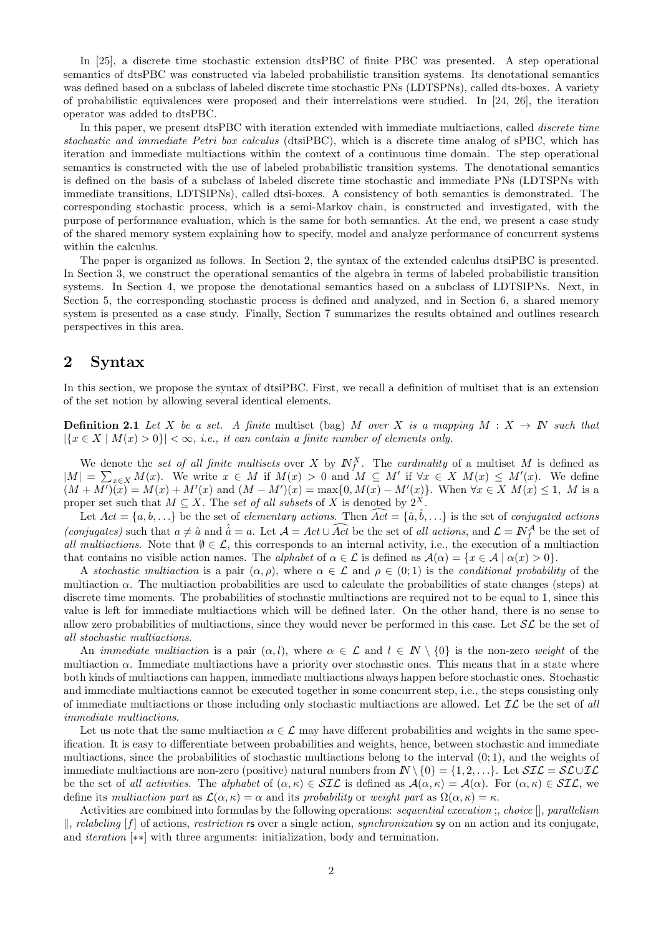In [25], a discrete time stochastic extension dtsPBC of finite PBC was presented. A step operational semantics of dtsPBC was constructed via labeled probabilistic transition systems. Its denotational semantics was defined based on a subclass of labeled discrete time stochastic PNs (LDTSPNs), called dts-boxes. A variety of probabilistic equivalences were proposed and their interrelations were studied. In [24, 26], the iteration operator was added to dtsPBC.

In this paper, we present dtsPBC with iteration extended with immediate multiactions, called *discrete time* stochastic and immediate Petri box calculus (dtsiPBC), which is a discrete time analog of sPBC, which has iteration and immediate multiactions within the context of a continuous time domain. The step operational semantics is constructed with the use of labeled probabilistic transition systems. The denotational semantics is defined on the basis of a subclass of labeled discrete time stochastic and immediate PNs (LDTSPNs with immediate transitions, LDTSIPNs), called dtsi-boxes. A consistency of both semantics is demonstrated. The corresponding stochastic process, which is a semi-Markov chain, is constructed and investigated, with the purpose of performance evaluation, which is the same for both semantics. At the end, we present a case study of the shared memory system explaining how to specify, model and analyze performance of concurrent systems within the calculus.

The paper is organized as follows. In Section 2, the syntax of the extended calculus dtsiPBC is presented. In Section 3, we construct the operational semantics of the algebra in terms of labeled probabilistic transition systems. In Section 4, we propose the denotational semantics based on a subclass of LDTSIPNs. Next, in Section 5, the corresponding stochastic process is defined and analyzed, and in Section 6, a shared memory system is presented as a case study. Finally, Section 7 summarizes the results obtained and outlines research perspectives in this area.

# 2 Syntax

In this section, we propose the syntax of dtsiPBC. First, we recall a definition of multiset that is an extension of the set notion by allowing several identical elements.

**Definition 2.1** Let X be a set. A finite multiset (bag) M over X is a mapping  $M : X \to \mathbb{N}$  such that  $|\{x \in X \mid M(x) > 0\}| < \infty$ , i.e., it can contain a finite number of elements only.

We denote the set of all finite multisets over X by  $N_f^X$ . The cardinality of a multiset M is defined as  $|M| = \sum_{x \in X} M(x)$ . We write  $x \in M$  if  $M(x) > 0$  and  $M \subseteq M'$  if  $\forall x \in X$   $M(x) \leq M'(x)$ . We define  $(M + M')(\bar{x}) = M(x) + M'(x)$  and  $(M - M')(x) = \max\{0, M(x) - M'(x)\}\$ . When  $\forall x \in X \ M(x) \leq 1$ , M is a proper set such that  $M \subseteq X$ . The set of all subsets of X is denoted by  $2^X$ .

Let  $Act = \{a, b, ...\}$  be the set of *elementary actions*. Then  $\widehat{Act} = \{\hat{a}, \hat{b}, ...\}$  is the set of *conjugated actions* (conjugates) such that  $a \neq \hat{a}$  and  $\hat{a} = a$ . Let  $\mathcal{A} = Act \cup \widehat{Act}$  be the set of all actions, and  $\mathcal{L} = \mathbb{N}_{f}^{\mathcal{A}}$  be the set of all multiactions. Note that  $\emptyset \in \mathcal{L}$ , this corresponds to an internal activity, i.e., the execution of a multiaction that contains no visible action names. The *alphabet* of  $\alpha \in \mathcal{L}$  is defined as  $\mathcal{A}(\alpha) = \{x \in \mathcal{A} \mid \alpha(x) > 0\}$ .

A stochastic multiaction is a pair  $(\alpha, \rho)$ , where  $\alpha \in \mathcal{L}$  and  $\rho \in (0, 1)$  is the conditional probability of the multiaction  $\alpha$ . The multiaction probabilities are used to calculate the probabilities of state changes (steps) at discrete time moments. The probabilities of stochastic multiactions are required not to be equal to 1, since this value is left for immediate multiactions which will be defined later. On the other hand, there is no sense to allow zero probabilities of multiactions, since they would never be performed in this case. Let  $\mathcal{SL}$  be the set of all stochastic multiactions.

An *immediate multiaction* is a pair  $(\alpha, l)$ , where  $\alpha \in \mathcal{L}$  and  $l \in \mathbb{N} \setminus \{0\}$  is the non-zero weight of the multiaction  $\alpha$ . Immediate multiactions have a priority over stochastic ones. This means that in a state where both kinds of multiactions can happen, immediate multiactions always happen before stochastic ones. Stochastic and immediate multiactions cannot be executed together in some concurrent step, i.e., the steps consisting only of immediate multiactions or those including only stochastic multiactions are allowed. Let  $\mathcal{IL}$  be the set of all immediate multiactions.

Let us note that the same multiaction  $\alpha \in \mathcal{L}$  may have different probabilities and weights in the same specification. It is easy to differentiate between probabilities and weights, hence, between stochastic and immediate multiactions, since the probabilities of stochastic multiactions belong to the interval  $(0, 1)$ , and the weights of immediate multiactions are non-zero (positive) natural numbers from  $\mathbb{N} \setminus \{0\} = \{1, 2, ...\}$ . Let  $\mathcal{SIL} = \mathcal{SLUL}$ be the set of all activities. The alphabet of  $(\alpha, \kappa) \in \mathcal{SIL}$  is defined as  $\mathcal{A}(\alpha, \kappa) = \mathcal{A}(\alpha)$ . For  $(\alpha, \kappa) \in \mathcal{SIL}$ , we define its multiaction part as  $\mathcal{L}(\alpha,\kappa) = \alpha$  and its probability or weight part as  $\Omega(\alpha,\kappa) = \kappa$ .

Activities are combined into formulas by the following operations: *sequential execution* ; *choice*  $\parallel$ *, parallelism*  $\Vert$ , relabeling [f] of actions, restriction rs over a single action, synchronization sy on an action and its conjugate, and iteration [∗∗] with three arguments: initialization, body and termination.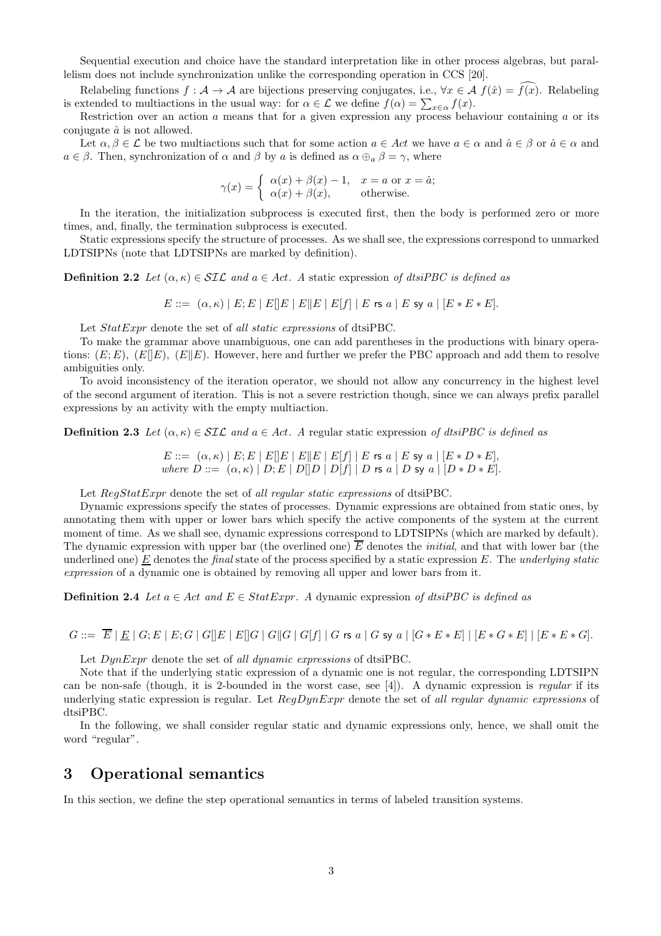Sequential execution and choice have the standard interpretation like in other process algebras, but parallelism does not include synchronization unlike the corresponding operation in CCS [20].

Relabeling functions  $f : \mathcal{A} \to \mathcal{A}$  are bijections preserving conjugates, i.e.,  $\forall x \in \mathcal{A}$   $f(\hat{x}) = f(x)$ . Relabeling is extended to multiactions in the usual way: for  $\alpha \in \mathcal{L}$  we define  $f(\alpha) = \sum_{x \in \alpha} f(x)$ .

Restriction over an action  $\alpha$  means that for a given expression any process behaviour containing  $\alpha$  or its conjugate  $\hat{a}$  is not allowed.

Let  $\alpha, \beta \in \mathcal{L}$  be two multiactions such that for some action  $a \in \mathcal{A}ct$  we have  $a \in \alpha$  and  $\hat{a} \in \beta$  or  $\hat{a} \in \alpha$  and  $a \in \beta$ . Then, synchronization of  $\alpha$  and  $\beta$  by a is defined as  $\alpha \oplus_{a} \beta = \gamma$ , where

$$
\gamma(x) = \begin{cases} \alpha(x) + \beta(x) - 1, & x = a \text{ or } x = \hat{a}; \\ \alpha(x) + \beta(x), & \text{otherwise.} \end{cases}
$$

In the iteration, the initialization subprocess is executed first, then the body is performed zero or more times, and, finally, the termination subprocess is executed.

Static expressions specify the structure of processes. As we shall see, the expressions correspond to unmarked LDTSIPNs (note that LDTSIPNs are marked by definition).

**Definition 2.2** Let  $(\alpha, \kappa) \in \mathcal{SIL}$  and  $a \in Act$ . A static expression of dtsiPBC is defined as

 $E ::= (\alpha, \kappa) | E; E | E | E | E | E | E | E | f | E \text{ is a} | E \text{ sy a} | [E * E * E].$ 

Let  $StatExpr$  denote the set of all static expressions of dtsiPBC.

To make the grammar above unambiguous, one can add parentheses in the productions with binary operations:  $(E; E)$ ,  $(E||E)$ ,  $(E||E)$ . However, here and further we prefer the PBC approach and add them to resolve ambiguities only.

To avoid inconsistency of the iteration operator, we should not allow any concurrency in the highest level of the second argument of iteration. This is not a severe restriction though, since we can always prefix parallel expressions by an activity with the empty multiaction.

**Definition 2.3** Let  $(\alpha, \kappa) \in \mathcal{SIL}$  and  $a \in Act$ . A regular static expression of dtsiPBC is defined as

 $E ::= (\alpha, \kappa) | E; E | E | E | E | E | E | E | f | E \text{ is a } | E \text{ sy a } | [E * D * E],$ where  $D ::= (\alpha, \kappa) | D, E | D | D | D | f | D$  is a | D sy a |  $D * D * E$ ].

Let  $RegStatExpr$  denote the set of all regular static expressions of dtsiPBC.

Dynamic expressions specify the states of processes. Dynamic expressions are obtained from static ones, by annotating them with upper or lower bars which specify the active components of the system at the current moment of time. As we shall see, dynamic expressions correspond to LDTSIPNs (which are marked by default). The dynamic expression with upper bar (the overlined one)  $\overline{E}$  denotes the *initial*, and that with lower bar (the underlined one)  $\underline{E}$  denotes the final state of the process specified by a static expression E. The underlying static expression of a dynamic one is obtained by removing all upper and lower bars from it.

**Definition 2.4** Let  $a \in Act$  and  $E \in StatExpr$ . A dynamic expression of dtsiPBC is defined as

 $G ::= \overline{E} | E | G; E | E; G | G | E | E | G | G | G | G | G | f | G$  rs a | G sy a |  $[G * E * E] | [E * G * E] | [E * E * G].$ 

Let  $DynExpr$  denote the set of all dynamic expressions of dtsiPBC.

Note that if the underlying static expression of a dynamic one is not regular, the corresponding LDTSIPN can be non-safe (though, it is 2-bounded in the worst case, see [4]). A dynamic expression is regular if its underlying static expression is regular. Let  $RegDynExpr$  denote the set of all regular dynamic expressions of dtsiPBC.

In the following, we shall consider regular static and dynamic expressions only, hence, we shall omit the word "regular".

### 3 Operational semantics

In this section, we define the step operational semantics in terms of labeled transition systems.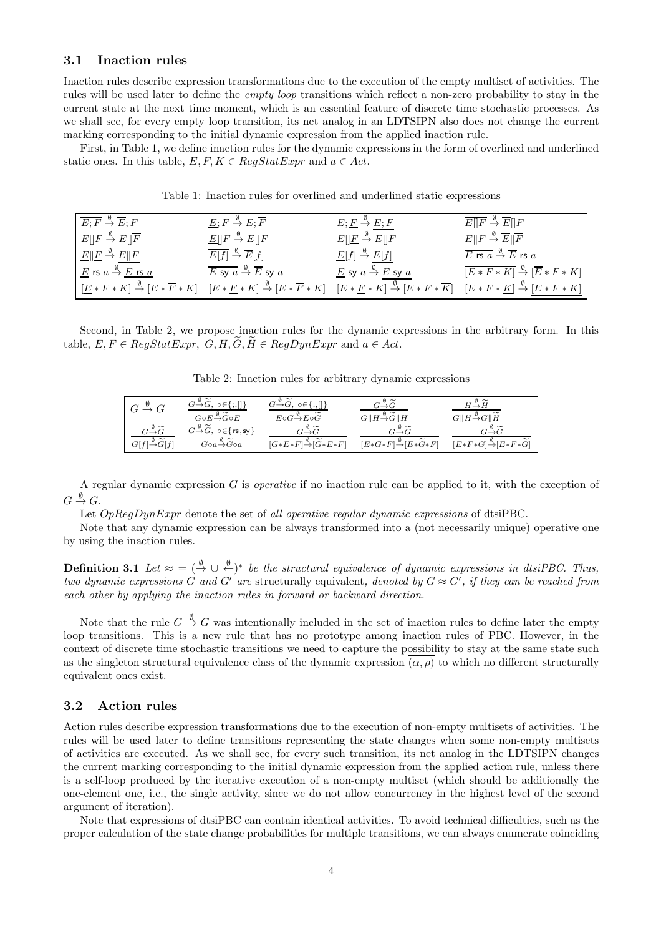#### 3.1 Inaction rules

Inaction rules describe expression transformations due to the execution of the empty multiset of activities. The rules will be used later to define the empty loop transitions which reflect a non-zero probability to stay in the current state at the next time moment, which is an essential feature of discrete time stochastic processes. As we shall see, for every empty loop transition, its net analog in an LDTSIPN also does not change the current marking corresponding to the initial dynamic expression from the applied inaction rule.

First, in Table 1, we define inaction rules for the dynamic expressions in the form of overlined and underlined static ones. In this table,  $E, F, K \in RegStatExpr$  and  $a \in Act$ .

Table 1: Inaction rules for overlined and underlined static expressions

| $E: F \stackrel{\emptyset}{\rightarrow} \overline{E}: F$                                  | $E; F \stackrel{\emptyset}{\rightarrow} E; \overline{F}$                                          | $E; E \stackrel{\emptyset}{\to} E; F$                                                                                                                                                                                                                                                                        | $E  F \overset{\emptyset}{\rightarrow} \overline{E}  F$                                           |
|-------------------------------------------------------------------------------------------|---------------------------------------------------------------------------------------------------|--------------------------------------------------------------------------------------------------------------------------------------------------------------------------------------------------------------------------------------------------------------------------------------------------------------|---------------------------------------------------------------------------------------------------|
| $E  F \overset{\emptyset}{\rightarrow} E  \overline{F}$                                   | $\underline{E}[[F \stackrel{\emptyset}{\to} E][F$                                                 | $E[\underline{F} \stackrel{\emptyset}{\to} E][F]$                                                                                                                                                                                                                                                            | $E  F \overset{\emptyset}{\rightarrow} \overline{E}  \overline{F}$                                |
| $E  E \overset{\emptyset}{\rightarrow} E  F$                                              | $E[f] \stackrel{\emptyset}{\rightarrow} \overline{E}[f]$                                          | $\underline{E}[f] \stackrel{\emptyset}{\to} E[f]$                                                                                                                                                                                                                                                            | $\overline{E}$ rs $\overline{a} \stackrel{\emptyset}{\rightarrow} \overline{E}$ rs $\overline{a}$ |
| $\underline{E}$ rs $a \stackrel{\emptyset}{\rightarrow} \underline{E}$ rs $\underline{a}$ | $\overline{E}$ sy $\overline{a} \stackrel{\emptyset}{\rightarrow} \overline{E}$ sy $\overline{a}$ | $\underline{E}$ sy $a \stackrel{\emptyset}{\rightarrow} E$ sy $a$                                                                                                                                                                                                                                            | $\boxed{E * F * K} \stackrel{\emptyset}{\rightarrow} \boxed{E * F * K}$                           |
|                                                                                           |                                                                                                   | $[\underline{E} * F * K] \stackrel{\emptyset}{\to} [E * \overline{F} * K] \quad [E * \underline{F} * K] \stackrel{\emptyset}{\to} [E * \overline{F} * K] \quad [E * \underline{F} * K] \stackrel{\emptyset}{\to} [E * F * \overline{K}] \quad [E * F * \underline{K}] \stackrel{\emptyset}{\to} [E * F * K]$ |                                                                                                   |

Second, in Table 2, we propose inaction rules for the dynamic expressions in the arbitrary form. In this table,  $E, F \in RegStatexpr$ ,  $G, H, G, H \in RegDynExpr$  and  $a \in Act$ .

Table 2: Inaction rules for arbitrary dynamic expressions

| $G \stackrel{\emptyset}{\rightarrow} G$                  | $G \rightarrow \widetilde{G}$ , $\circ \in \{ ; , [] \}$                                     | $G{\mathop{\to }\limits^{\emptyset }}\widetilde{G},\;$ o $\in\{;,\parallel\}$ | $G{\overset{\emptyset}{\to}}\widetilde G$ | $H \stackrel{\emptyset}{\rightarrow} \widetilde{H}$ |  |  |
|----------------------------------------------------------|----------------------------------------------------------------------------------------------|-------------------------------------------------------------------------------|-------------------------------------------|-----------------------------------------------------|--|--|
|                                                          | $G \circ E \rightarrow \widetilde{G} \circ E$                                                | $E\circ G \rightarrow E\circ \widetilde{G}$                                   | $G  H \rightarrow \widetilde{G}  H$       | $G  H \rightarrow G  \widetilde{H}$                 |  |  |
| $G \overset{\emptyset}{\rightarrow} \widetilde{G}$       | $G \stackrel{\emptyset}{\rightarrow} \widetilde{G}$ , $\circ \in \{ \text{rs}, \text{sy} \}$ | $G \rightarrow \widetilde{G}$                                                 |                                           |                                                     |  |  |
| $G[f]{\overset{\emptyset}{\rightarrow}}\widetilde{G}[f]$ | $G$ 0a $\stackrel{\emptyset}{\rightarrow}$ G0a                                               | $[G*E*F] \stackrel{\emptyset}{\rightarrow} [\widetilde{G}*E*F]$               | $[E*G*F] \rightarrow E*G*F$               | $[E*F*G] \rightarrow [E*F*\widetilde{G}]$           |  |  |

A regular dynamic expression G is operative if no inaction rule can be applied to it, with the exception of  $G \stackrel{\emptyset}{\rightarrow} G.$ 

Let  $OpRegDynExpr$  denote the set of all operative regular dynamic expressions of dtsiPBC.

Note that any dynamic expression can be always transformed into a (not necessarily unique) operative one by using the inaction rules.

**Definition 3.1** Let  $\approx$  =  $(\stackrel{\emptyset}{\to} \cup \stackrel{\emptyset}{\leftarrow})^*$  be the structural equivalence of dynamic expressions in dtsiPBC. Thus, two dynamic expressions G and G' are structurally equivalent, denoted by  $G \approx G'$ , if they can be reached from each other by applying the inaction rules in forward or backward direction.

Note that the rule  $G \stackrel{\emptyset}{\to} G$  was intentionally included in the set of inaction rules to define later the empty loop transitions. This is a new rule that has no prototype among inaction rules of PBC. However, in the context of discrete time stochastic transitions we need to capture the possibility to stay at the same state such as the singleton structural equivalence class of the dynamic expression  $\overline{(\alpha,\rho)}$  to which no different structurally equivalent ones exist.

### 3.2 Action rules

Action rules describe expression transformations due to the execution of non-empty multisets of activities. The rules will be used later to define transitions representing the state changes when some non-empty multisets of activities are executed. As we shall see, for every such transition, its net analog in the LDTSIPN changes the current marking corresponding to the initial dynamic expression from the applied action rule, unless there is a self-loop produced by the iterative execution of a non-empty multiset (which should be additionally the one-element one, i.e., the single activity, since we do not allow concurrency in the highest level of the second argument of iteration).

Note that expressions of dtsiPBC can contain identical activities. To avoid technical difficulties, such as the proper calculation of the state change probabilities for multiple transitions, we can always enumerate coinciding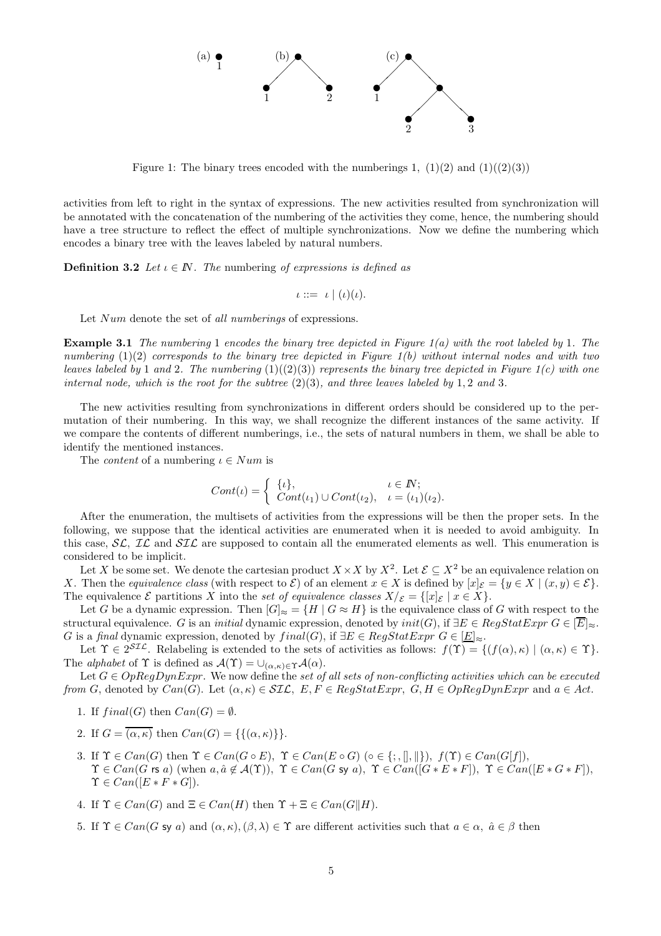

Figure 1: The binary trees encoded with the numberings 1,  $(1)(2)$  and  $(1)((2)(3))$ 

activities from left to right in the syntax of expressions. The new activities resulted from synchronization will be annotated with the concatenation of the numbering of the activities they come, hence, the numbering should have a tree structure to reflect the effect of multiple synchronizations. Now we define the numbering which encodes a binary tree with the leaves labeled by natural numbers.

**Definition 3.2** Let  $\iota \in \mathbb{N}$ . The numbering of expressions is defined as

$$
\iota ::= \iota \mid (\iota)(\iota).
$$

Let Num denote the set of all numberings of expressions.

**Example 3.1** The numbering 1 encodes the binary tree depicted in Figure  $1(a)$  with the root labeled by 1. The numbering  $(1)(2)$  corresponds to the binary tree depicted in Figure  $1(b)$  without internal nodes and with two leaves labeled by 1 and 2. The numbering  $(1)((2)(3))$  represents the binary tree depicted in Figure 1(c) with one internal node, which is the root for the subtree  $(2)(3)$ , and three leaves labeled by 1, 2 and 3.

The new activities resulting from synchronizations in different orders should be considered up to the permutation of their numbering. In this way, we shall recognize the different instances of the same activity. If we compare the contents of different numberings, i.e., the sets of natural numbers in them, we shall be able to identify the mentioned instances.

The *content* of a numbering  $\iota \in Num$  is

$$
Cont(\iota) = \begin{cases} {\{\iota\}}, & \iota \in \mathbb{N}; \\ Cont(\iota_1) \cup Cont(\iota_2), & \iota = (\iota_1)(\iota_2). \end{cases}
$$

After the enumeration, the multisets of activities from the expressions will be then the proper sets. In the following, we suppose that the identical activities are enumerated when it is needed to avoid ambiguity. In this case,  $SL$ ,  $IL$  and  $SIL$  are supposed to contain all the enumerated elements as well. This enumeration is considered to be implicit.

Let X be some set. We denote the cartesian product  $X \times X$  by  $X^2$ . Let  $\mathcal{E} \subseteq X^2$  be an equivalence relation on X. Then the equivalence class (with respect to  $\mathcal{E}$ ) of an element  $x \in X$  is defined by  $[x]_{\mathcal{E}} = \{y \in X \mid (x, y) \in \mathcal{E}\}\.$ The equivalence  $\mathcal E$  partitions X into the set of equivalence classes  $X/\mathcal E = \{[x]_{\mathcal E} \mid x \in X\}.$ 

Let G be a dynamic expression. Then  $|G|_{\approx} = \{H \mid G \approx H\}$  is the equivalence class of G with respect to the structural equivalence. G is an *initial* dynamic expression, denoted by  $init(G)$ , if  $\exists E \in RegStatExpr G \in \boxed{E|_{\approx}}$ . G is a final dynamic expression, denoted by  $final(G)$ , if  $\exists E \in RegStatExpr$   $G \in [\underline{E}]_{\approx}$ .

Let  $\Upsilon \in 2^{ST\mathcal{L}}$ . Relabeling is extended to the sets of activities as follows:  $f(\Upsilon) = \{ (f(\alpha), \kappa) \mid (\alpha, \kappa) \in \Upsilon \}.$ The *alphabet* of  $\Upsilon$  is defined as  $\mathcal{A}(\Upsilon) = \bigcup_{(\alpha,\kappa)\in\Upsilon}\mathcal{A}(\alpha)$ .

Let  $G \in OpRegDynExpr$ . We now define the set of all sets of non-conflicting activities which can be executed from G, denoted by  $Can(G)$ . Let  $(\alpha, \kappa) \in SL$ ,  $E, F \in RegStatexpr$ ,  $G, H \in OpRegDynExpr$  and  $a \in Act$ .

- 1. If  $final(G)$  then  $Can(G) = \emptyset$ .
- 2. If  $G = \overline{(\alpha, \kappa)}$  then  $Can(G) = \{\{(\alpha, \kappa)\}\}.$
- 3. If  $\Upsilon \in Can(G)$  then  $\Upsilon \in Can(G \circ E)$ ,  $\Upsilon \in Can(E \circ G)$  ( $\circ \in \{\cdot, \|, \| \}$ ),  $f(\Upsilon) \in Can(G[f])$ ,  $\Upsilon \in Can(G \text{ rs } a)$  (when  $a, \hat{a} \notin \mathcal{A}(\Upsilon)$ ),  $\Upsilon \in Can(G \text{ sy } a)$ ,  $\Upsilon \in Can([G * E * F])$ ,  $\Upsilon \in Can([E * G * F])$ ,  $\Upsilon \in Can([E * F * G]).$
- 4. If  $\Upsilon \in Can(G)$  and  $\Xi \in Can(H)$  then  $\Upsilon + \Xi \in Can(G||H)$ .
- 5. If  $\Upsilon \in Can(G \text{ sy } a)$  and  $(\alpha, \kappa), (\beta, \lambda) \in \Upsilon$  are different activities such that  $a \in \alpha$ ,  $\hat{a} \in \beta$  then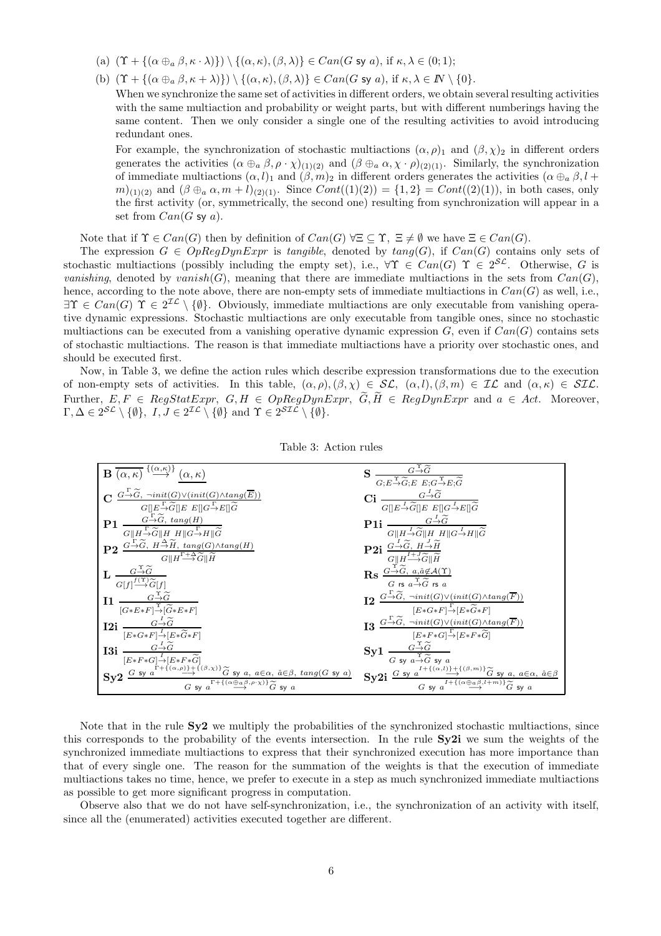- (a)  $(\Upsilon + \{(\alpha \oplus_{a} \beta, \kappa \cdot \lambda)\}) \setminus \{(\alpha, \kappa),(\beta, \lambda)\}\in Can(G \text{ sy } a), \text{ if } \kappa, \lambda \in (0,1);$
- (b)  $(\Upsilon + {\alpha \oplus_{a} \beta, \kappa + \lambda}) \ \rangle \ ( \{\alpha, \kappa), (\beta, \lambda)\} \in Can(G \text{ sy } a), \text{ if } \kappa, \lambda \in \mathbb{N} \setminus \{0\}.$

When we synchronize the same set of activities in different orders, we obtain several resulting activities with the same multiaction and probability or weight parts, but with different numberings having the same content. Then we only consider a single one of the resulting activities to avoid introducing redundant ones.

For example, the synchronization of stochastic multiactions  $(\alpha, \rho)_1$  and  $(\beta, \chi)_2$  in different orders generates the activities  $(\alpha \oplus_{a} \beta, \rho \cdot \chi)_{(1)(2)}$  and  $(\beta \oplus_{a} \alpha, \chi \cdot \rho)_{(2)(1)}$ . Similarly, the synchronization of immediate multiactions  $(\alpha, l)_1$  and  $(\beta, m)_2$  in different orders generates the activities  $(\alpha \oplus_{\alpha} \beta, l +$  $m|_{(1)(2)}$  and  $(\beta \oplus_a \alpha, m + l)_{(2)(1)}$ . Since  $Cont((1)(2)) = \{1,2\} = Cont((2)(1))$ , in both cases, only the first activity (or, symmetrically, the second one) resulting from synchronization will appear in a set from  $Can(G \text{ sy } a)$ .

Note that if  $\Upsilon \in Can(G)$  then by definition of  $Can(G) \forall \Xi \subset \Upsilon$ ,  $\Xi \neq \emptyset$  we have  $\Xi \in Can(G)$ .

The expression  $G \in OpRegDynExpr$  is tangible, denoted by  $tang(G)$ , if  $Can(G)$  contains only sets of stochastic multiactions (possibly including the empty set), i.e.,  $\forall \Upsilon \in Can(G) \Upsilon \in 2^{S\mathcal{L}}$ . Otherwise, G is vanishing, denoted by vanish(G), meaning that there are immediate multiactions in the sets from  $Can(G)$ , hence, according to the note above, there are non-empty sets of immediate multiactions in  $Can(G)$  as well, i.e.,  $\exists \Upsilon \in Can(G) \Upsilon \in 2^{\mathcal{IL}} \setminus \{\emptyset\}.$  Obviously, immediate multiactions are only executable from vanishing operative dynamic expressions. Stochastic multiactions are only executable from tangible ones, since no stochastic multiactions can be executed from a vanishing operative dynamic expression  $G$ , even if  $Can(G)$  contains sets of stochastic multiactions. The reason is that immediate multiactions have a priority over stochastic ones, and should be executed first.

Now, in Table 3, we define the action rules which describe expression transformations due to the execution of non-empty sets of activities. In this table,  $(\alpha, \rho), (\beta, \chi) \in \mathcal{SL}$ ,  $(\alpha, l), (\beta, m) \in \mathcal{IL}$  and  $(\alpha, \kappa) \in \mathcal{SL}$ . Further,  $E, F \in RegStatexpr$ ,  $G, H \in OpRegDynExpr$ ,  $\widetilde{G}, \widetilde{H} \in RegDynExpr$  and  $a \in Act$ . Moreover,  $\Gamma, \Delta \in 2^{\mathcal{SL}} \setminus \{\emptyset\}, \ I, J \in 2^{\mathcal{IL}} \setminus \{\emptyset\} \text{ and } \Upsilon \in 2^{\mathcal{SLL}} \setminus \{\emptyset\}.$ 

| $\mathbf{B} \xrightarrow{\alpha,\kappa} \xrightarrow{\{\alpha,\kappa\}} (\alpha,\kappa)$                                                                                                                                                                                                                                                                                                                                                                               | <b>S</b> $\frac{G \rightarrow G}{G; E \rightarrow \widetilde{G}; E \ E; G \rightarrow E; \widetilde{G}}$                                                                                                                                                                                                                                                                                  |
|------------------------------------------------------------------------------------------------------------------------------------------------------------------------------------------------------------------------------------------------------------------------------------------------------------------------------------------------------------------------------------------------------------------------------------------------------------------------|-------------------------------------------------------------------------------------------------------------------------------------------------------------------------------------------------------------------------------------------------------------------------------------------------------------------------------------------------------------------------------------------|
| $\mathbf{C} \xrightarrow{G \xrightarrow{\Gamma} \widetilde{G}, \ \neg init(G) \vee (init(G) \wedge tang(\overline{E}))} \hspace{-0.1cm} G[\underbrace{\mathbb{I}^{\Gamma} \xrightarrow{\Gamma} \widetilde{G}} \left] \mathbb{E} \ \mathbb{E}[\mathbb{I}^{G \xrightarrow{\Gamma} E}]\right] \widetilde{G}$                                                                                                                                                              | Ci $\frac{G\stackrel{I}{\rightarrow}\widetilde{G}}{G[\lfloor E\stackrel{I}{\rightarrow}\widetilde{G}][E\ \ E[\lfloor G\stackrel{I}{\rightarrow}E][\widetilde{G}]}$                                                                                                                                                                                                                        |
| <b>P1</b> $\frac{G - \widetilde{G}}{G \  H - \widetilde{G} \  H \  H \  G - H \  \widetilde{G}}$                                                                                                                                                                                                                                                                                                                                                                       | <b>P1i</b> $\frac{G \rightarrow \widetilde{G}}{G \  H \rightarrow \widetilde{G} \  H \  H \  G \rightarrow H \  \widetilde{G}}$                                                                                                                                                                                                                                                           |
| <b>P2</b> $G \rightarrow \widetilde{G}$ , $H \rightarrow \widetilde{H}$ , $tang(G) \wedge tang(H)$<br>$G  H^{\Gamma+\Delta}\widetilde G  \widetilde H$                                                                                                                                                                                                                                                                                                                 | <b>P2i</b> $\frac{G \rightarrow \widetilde{G}, H \rightarrow \widetilde{H}}{G \parallel H \rightarrow \widetilde{G} \parallel \widetilde{H}}$                                                                                                                                                                                                                                             |
| $\frac{G}{\left( f\right) ^{f\left( \Upsilon\right) }}\frac{G}{G[f]}$                                                                                                                                                                                                                                                                                                                                                                                                  | $\operatorname{Rs} \frac{G \stackrel{\Upsilon}{\to} \widetilde{G},\; a, \hat{a} \not\in \mathcal{A}(\Upsilon)}{G \;\operatorname{rs}\; a \stackrel{\Upsilon}{\to} \widetilde{G} \;\operatorname{rs}\; a}$                                                                                                                                                                                 |
| $\mathbf{I1} \frac{G \stackrel{\Upsilon}{\rightarrow} \widetilde{G}}{\gamma \sim}$<br>$[G*E*F] \stackrel{\Upsilon}{\rightarrow} [\widetilde{G}*E*F]$                                                                                                                                                                                                                                                                                                                   |                                                                                                                                                                                                                                                                                                                                                                                           |
| I2i $\frac{G-\widetilde{G}}{[E*G*F]\rightarrow [E*\widetilde{G}*F]}$                                                                                                                                                                                                                                                                                                                                                                                                   | $\begin{array}{rl} \bf 12\ \ \frac{G\overset{\Gamma}{\rightarrow}\widetilde{G},\ \neg init(G)\vee (init(G)\wedge tang(\overline{F}))}{[E*G*F]\overset{\Gamma}{\rightarrow}[E*\widetilde{G}*F]}\\ \bf 13\ \ \frac{G\overset{\Gamma}{\rightarrow}\widetilde{G},\ \neg init(G)\vee (init(G)\wedge tang(\overline{F}))}{[E*F*G]\overset{\Gamma}{\rightarrow}[E*F*\widetilde{G}]} \end{array}$ |
| <b>I3i</b> $\frac{G-\widetilde{G}}{G}$<br>$[E\!*\!F\!*\!G]\!\!\overset{I}{\rightarrow}\!\![E\!*\!F\!*\!\overset{\sim}{G}\!]$                                                                                                                                                                                                                                                                                                                                           | $Syl \frac{G - \widetilde{G}}{G \text{ sy } a \to \widetilde{G} \text{ sy } a}$                                                                                                                                                                                                                                                                                                           |
| $\textstyle \mathrm{Sy2} \overset{\cdot G \ \mathrm{sy} \ a^{\overset{\cdot}{\Gamma}+\overset{\cdot}{\mathfrak{t}}(\alpha,\rho)\cancel{+}\overset{\cdot}{\mathfrak{t}}(\beta,\chi) \wr \overset{\cdot}{G} \ \mathrm{sy} \ a, \ a \in \alpha, \ a \in \beta, \ tang(G \ \mathrm{sy} \ a)}{G \ \mathrm{sy} \ a^{\overset{\cdot}{\Gamma}+\overset{\cdot}{\mathfrak{t}}(\alpha \oplus \alpha \beta,\rho \cdot \chi) \wr \overset{\cdot}{\widetilde{G}} \ \mathrm{sy} \ a}$ | $\textbf{Sy2i} \xrightarrow[G \text{ sy } a^{I + \{(\alpha, l)\} + \{(\beta, m)\}} \widetilde{G} \text{ sy } a, a \in \alpha, \hat{a} \in \beta$$                                                                                                                                                                                                                                         |

Note that in the rule  $S_{\mathbf{V}}^2$  we multiply the probabilities of the synchronized stochastic multiactions, since this corresponds to the probability of the events intersection. In the rule  $Sv2i$  we sum the weights of the synchronized immediate multiactions to express that their synchronized execution has more importance than that of every single one. The reason for the summation of the weights is that the execution of immediate multiactions takes no time, hence, we prefer to execute in a step as much synchronized immediate multiactions as possible to get more significant progress in computation.

Observe also that we do not have self-synchronization, i.e., the synchronization of an activity with itself, since all the (enumerated) activities executed together are different.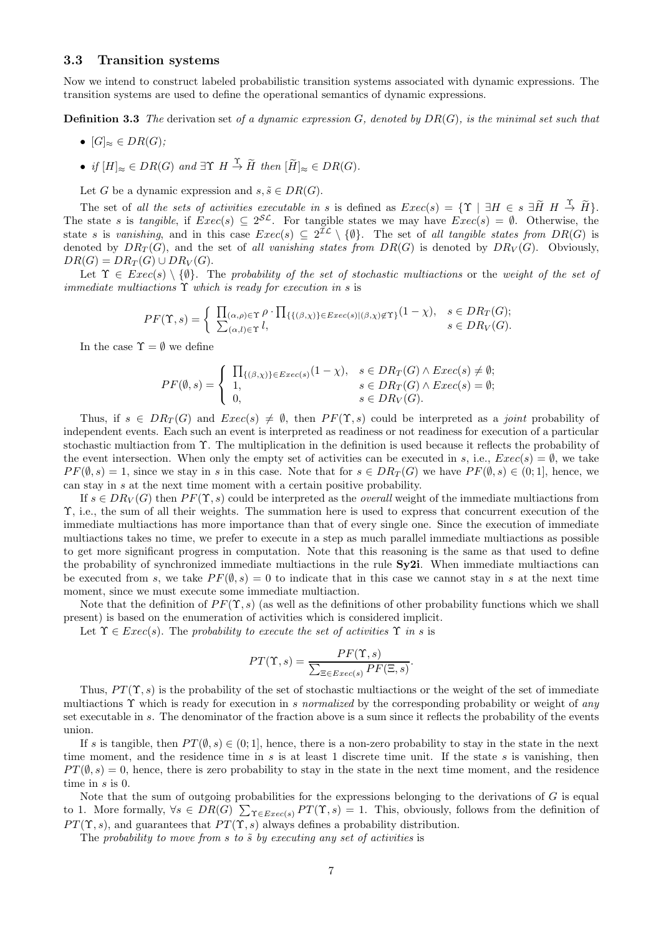#### 3.3 Transition systems

Now we intend to construct labeled probabilistic transition systems associated with dynamic expressions. The transition systems are used to define the operational semantics of dynamic expressions.

**Definition 3.3** The derivation set of a dynamic expression  $G$ , denoted by  $DR(G)$ , is the minimal set such that

- $[G]_{\approx} \in DR(G)$ :
- if  $[H]_{\approx} \in DR(G)$  and  $\exists \Upsilon \ H \stackrel{\Upsilon}{\to} \widetilde{H}$  then  $[\widetilde{H}]_{\approx} \in DR(G)$ .

Let G be a dynamic expression and  $s, \tilde{s} \in DR(G)$ .

The set of all the sets of activities executable in s is defined as  $Exec(s) = \{ \Upsilon \mid \exists H \in s \exists \widetilde{H} \ H \stackrel{\Upsilon}{\rightarrow} \widetilde{H} \}.$ The state s is tangible, if  $Exec(s) \subseteq 2^{S\mathcal{L}}$ . For tangible states we may have  $Exec(s) = \emptyset$ . Otherwise, the state s is vanishing, and in this case  $Exec(s) \subseteq 2^{\mathcal{IL}} \setminus \{\emptyset\}$ . The set of all tangible states from  $DR(G)$  is denoted by  $DR_T(G)$ , and the set of all vanishing states from  $DR(G)$  is denoted by  $DR_V(G)$ . Obviously,  $DR(G) = DR_T(G) \cup DR_V(G).$ 

Let  $\Upsilon \in \mathit{Exec}(s) \setminus \{\emptyset\}$ . The probability of the set of stochastic multiactions or the weight of the set of immediate multiactions  $\Upsilon$  which is ready for execution in s is

$$
PF(\Upsilon, s) = \begin{cases} \prod_{(\alpha, \rho) \in \Upsilon} \rho \cdot \prod_{\{ \{ (\beta, \chi) \} \in E \text{vec}(s) \mid (\beta, \chi) \notin \Upsilon \}} (1 - \chi), & s \in DR_T(G); \\ \sum_{(\alpha, l) \in \Upsilon} l, & s \in DR_V(G). \end{cases}
$$

In the case  $\Upsilon = \emptyset$  we define

$$
PF(\emptyset, s) = \begin{cases} \prod_{\{(\beta, \chi)\}\in \text{Exec}(s)} (1 - \chi), & s \in DR_T(G) \land \text{Exec}(s) \neq \emptyset; \\ 1, & s \in DR_T(G) \land \text{Exec}(s) = \emptyset; \\ 0, & s \in DR_V(G). \end{cases}
$$

Thus, if  $s \in DR_T(G)$  and  $Exec(s) \neq \emptyset$ , then  $PF(\Upsilon, s)$  could be interpreted as a *joint* probability of independent events. Each such an event is interpreted as readiness or not readiness for execution of a particular stochastic multiaction from Υ. The multiplication in the definition is used because it reflects the probability of the event intersection. When only the empty set of activities can be executed in s, i.e.,  $Exec(s) = \emptyset$ , we take  $PF(\emptyset, s) = 1$ , since we stay in s in this case. Note that for  $s \in DR_T(G)$  we have  $PF(\emptyset, s) \in (0, 1]$ , hence, we can stay in s at the next time moment with a certain positive probability.

If  $s \in DR_V(G)$  then  $PF(\Upsilon, s)$  could be interpreted as the *overall* weight of the immediate multiactions from Υ, i.e., the sum of all their weights. The summation here is used to express that concurrent execution of the immediate multiactions has more importance than that of every single one. Since the execution of immediate multiactions takes no time, we prefer to execute in a step as much parallel immediate multiactions as possible to get more significant progress in computation. Note that this reasoning is the same as that used to define the probability of synchronized immediate multiactions in the rule  $Sy2i$ . When immediate multiactions can be executed from s, we take  $PF(\emptyset, s) = 0$  to indicate that in this case we cannot stay in s at the next time moment, since we must execute some immediate multiaction.

Note that the definition of  $PF(\Upsilon, s)$  (as well as the definitions of other probability functions which we shall present) is based on the enumeration of activities which is considered implicit.

Let  $\Upsilon \in \text{Exec}(s)$ . The probability to execute the set of activities  $\Upsilon$  in s is

$$
PT(\Upsilon, s) = \frac{PF(\Upsilon, s)}{\sum_{\Xi \in \text{Exec}(s)} PF(\Xi, s)}.
$$

Thus,  $PT(\Upsilon, s)$  is the probability of the set of stochastic multiactions or the weight of the set of immediate multiactions  $\Upsilon$  which is ready for execution in s normalized by the corresponding probability or weight of any set executable in s. The denominator of the fraction above is a sum since it reflects the probability of the events union.

If s is tangible, then  $PT(\emptyset, s) \in (0, 1]$ , hence, there is a non-zero probability to stay in the state in the next time moment, and the residence time in s is at least 1 discrete time unit. If the state s is vanishing, then  $PT(\emptyset, s) = 0$ , hence, there is zero probability to stay in the state in the next time moment, and the residence time in  $s$  is  $0$ .

Note that the sum of outgoing probabilities for the expressions belonging to the derivations of  $G$  is equal to 1. More formally,  $\forall s \in DR(G)$   $\sum_{\Upsilon \in Excel(s)} PT(\Upsilon, s) = 1$ . This, obviously, follows from the definition of  $PT(\Upsilon, s)$ , and guarantees that  $PT(\Upsilon, s)$  always defines a probability distribution.

The probability to move from  $s$  to  $\tilde{s}$  by executing any set of activities is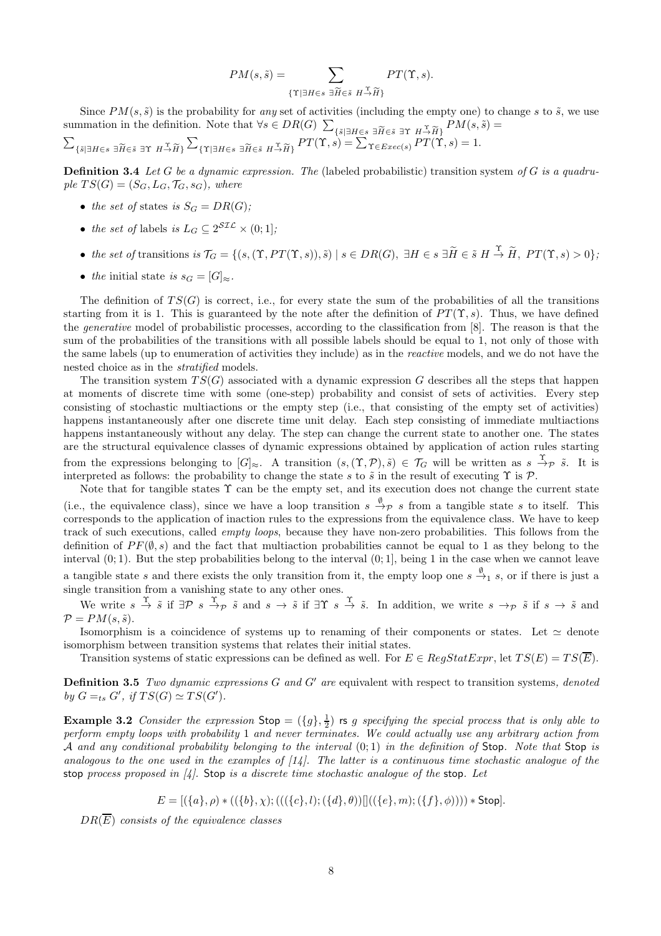$$
PM(s, \tilde{s}) = \sum_{\{\Upsilon \mid \exists H \in s \ \exists \widetilde{H} \in \tilde{s} \ H \stackrel{\Upsilon}{\rightarrow} \widetilde{H}\}} PT(\Upsilon, s).
$$

Since  $PM(s, \tilde{s})$  is the probability for any set of activities (including the empty one) to change s to  $\tilde{s}$ , we use summation in the definition. Note that  $\forall s \in DR(G) \sum$  $\{\tilde{s}|\exists H\in s\; \exists \widetilde{H}\in \tilde{s}\; \exists \Upsilon\; H\rightarrow \widetilde{H}\}\;PM(s,\tilde{s})=0\ =\sum_{\mathcal{D}T\in\mathcal{D}}PM(s,\tilde{s})\equiv 1$ 

$$
\sum_{\{\tilde{s}|\exists H\in s\;|\exists \tilde{H}\in \tilde{s}\;|\exists \Upsilon\;H\stackrel{\Upsilon}{\to}\tilde{H}\}}\sum_{\{\Upsilon|\exists H\in s\;|\exists \tilde{H}\in \tilde{s}\;H\stackrel{\Upsilon}{\to}\tilde{H}\}}PT(\Upsilon,s)=\sum_{\Upsilon\in\text{Exec}(s)}PT(\Upsilon,s)=1.
$$

**Definition 3.4** Let G be a dynamic expression. The (labeled probabilistic) transition system of G is a quadruple  $TS(G) = (S_G, L_G, \mathcal{T}_G, s_G)$ , where

- the set of states is  $S_G = DR(G)$ ;
- the set of labels is  $L_G \subseteq 2^{\mathcal{SIL}} \times (0,1]$ ;
- the set of transitions is  $\mathcal{T}_G = \{ (s, (\Upsilon, PT(\Upsilon, s)), \tilde{s}) \mid s \in DR(G), \exists H \in s \exists \tilde{H} \in \tilde{s} \ H \stackrel{\Upsilon}{\to} \tilde{H}, PT(\Upsilon, s) > 0 \};$
- the initial state is  $s_G = [G]_{\approx}$ .

The definition of  $TS(G)$  is correct, i.e., for every state the sum of the probabilities of all the transitions starting from it is 1. This is guaranteed by the note after the definition of  $PT(\Upsilon, s)$ . Thus, we have defined the *generative* model of probabilistic processes, according to the classification from [8]. The reason is that the sum of the probabilities of the transitions with all possible labels should be equal to 1, not only of those with the same labels (up to enumeration of activities they include) as in the reactive models, and we do not have the nested choice as in the *stratified* models.

The transition system  $TS(G)$  associated with a dynamic expression G describes all the steps that happen at moments of discrete time with some (one-step) probability and consist of sets of activities. Every step consisting of stochastic multiactions or the empty step (i.e., that consisting of the empty set of activities) happens instantaneously after one discrete time unit delay. Each step consisting of immediate multiactions happens instantaneously without any delay. The step can change the current state to another one. The states are the structural equivalence classes of dynamic expressions obtained by application of action rules starting from the expressions belonging to  $[G]_{\approx}$ . A transition  $(s,(\Upsilon,\mathcal{P}),\tilde{s}) \in \mathcal{T}_G$  will be written as  $s \stackrel{\Upsilon}{\rightarrow} \mathcal{P} \tilde{s}$ . It is interpreted as follows: the probability to change the state s to  $\tilde{s}$  in the result of executing  $\Upsilon$  is  $\mathcal{P}$ .

Note that for tangible states  $\Upsilon$  can be the empty set, and its execution does not change the current state (i.e., the equivalence class), since we have a loop transition  $s \stackrel{\emptyset}{\to} p s$  from a tangible state s to itself. This corresponds to the application of inaction rules to the expressions from the equivalence class. We have to keep track of such executions, called *empty loops*, because they have non-zero probabilities. This follows from the definition of  $PF(\emptyset, s)$  and the fact that multiaction probabilities cannot be equal to 1 as they belong to the interval  $(0, 1)$ . But the step probabilities belong to the interval  $(0, 1]$ , being 1 in the case when we cannot leave a tangible state s and there exists the only transition from it, the empty loop one  $s \stackrel{\emptyset}{\to}_1 s$ , or if there is just a single transition from a vanishing state to any other ones.

We write  $s \stackrel{\Upsilon}{\rightarrow} \tilde{s}$  if  $\exists \mathcal{P} \; s \stackrel{\Upsilon}{\rightarrow} \tilde{s}$  and  $s \rightarrow \tilde{s}$  if  $\exists \Upsilon \; s \stackrel{\Upsilon}{\rightarrow} \tilde{s}$ . In addition, we write  $s \rightarrow_{\mathcal{P}} \tilde{s}$  if  $s \rightarrow \tilde{s}$  and  $\mathcal{P} = PM(s, \tilde{s}).$ 

Isomorphism is a coincidence of systems up to renaming of their components or states. Let  $\simeq$  denote isomorphism between transition systems that relates their initial states.

Transition systems of static expressions can be defined as well. For  $E \in RegStatExpr$ , let  $TS(E) = TS(\overline{E})$ .

**Definition 3.5** Two dynamic expressions  $G$  and  $G'$  are equivalent with respect to transition systems, denoted by  $G =_{ts} G'$ , if  $TS(G) \simeq TS(G')$ .

**Example 3.2** Consider the expression  $\text{Stop} = (\{g\}, \frac{1}{2})$  is g specifying the special process that is only able to perform empty loops with probability 1 and never terminates. We could actually use any arbitrary action from A and any conditional probability belonging to the interval  $(0; 1)$  in the definition of Stop. Note that Stop is analogous to the one used in the examples of  $(14)$ . The latter is a continuous time stochastic analogue of the stop process proposed in  $\mathcal{U}$ . Stop is a discrete time stochastic analogue of the stop. Let

$$
E = [(\{a\}, \rho) * ((\{b\}, \chi); (((\{c\}, l); (\{d\}, \theta))]]((\{e\}, m); (\{f\}, \phi)))) * Stop].
$$

 $DR(\overline{E})$  consists of the equivalence classes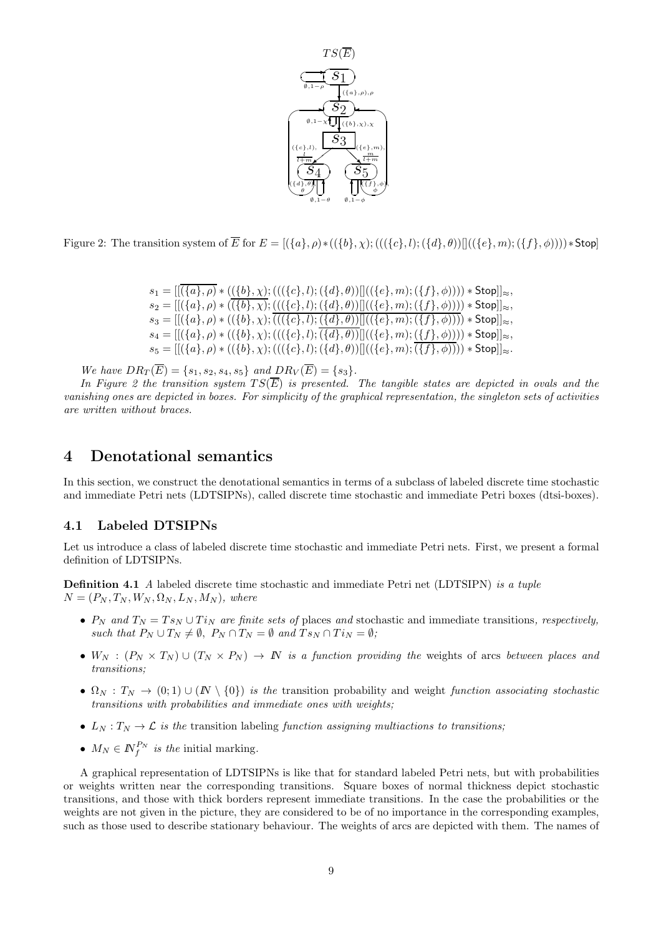

Figure 2: The transition system of  $\overline{E}$  for  $E = [(\{a\}, \rho) * ((\{b\}, \chi) ; (((\{c\}, l) ; (\{d\}, \theta))]((\{e\}, m) ; (\{f\}, \phi)))) * Stop$ 

| $s_1 =   (\{a\}, \rho) * ((\{b\}, \chi) ; (((\{c\}, l) ; (\{d\}, \theta))    ((\{e\}, m) ; (\{f\}, \phi)))) * Stop  _{\approx},$ |
|----------------------------------------------------------------------------------------------------------------------------------|
| $s_2 = [[(\{a\}, \rho) * ((\{b\}, \chi); (((\{c\}, l); (\{d\}, \theta))]]((\{e\}, m); (\{f\}, \phi)))) * Stop]]_{\approx},$      |
| $s_3 = [[(\{a\}, \rho) * ((\{b\}, \chi); (((\{c\}, l); (\{d\}, \theta))]((\{e\}, m); (\{f\}, \phi)))) * Stop]]_{\approx},$       |
| $s_4 = [[(\{a\}, \rho) * ((\{b\}, \chi); (((\{c\}, l); (\{d\}, \theta))]]((\{e\}, m); (\{f\}, \phi)))) * Stop]]_{\approx},$      |
| $s_5 = [[(\{a\}, \rho) * ((\{b\}, \chi); (((\{c\}, l); (\{d\}, \theta))]]((\{e\}, m); (\{f\}, \phi)))) * Stop]]_{\approx}.$      |

We have  $DR_T(\overline{E}) = \{s_1, s_2, s_4, s_5\}$  and  $DR_V(\overline{E}) = \{s_3\}.$ 

In Figure 2 the transition system  $TS(\overline{E})$  is presented. The tangible states are depicted in ovals and the vanishing ones are depicted in boxes. For simplicity of the graphical representation, the singleton sets of activities are written without braces.

### 4 Denotational semantics

In this section, we construct the denotational semantics in terms of a subclass of labeled discrete time stochastic and immediate Petri nets (LDTSIPNs), called discrete time stochastic and immediate Petri boxes (dtsi-boxes).

#### 4.1 Labeled DTSIPNs

Let us introduce a class of labeled discrete time stochastic and immediate Petri nets. First, we present a formal definition of LDTSIPNs.

**Definition 4.1** A labeled discrete time stochastic and immediate Petri net (LDTSIPN) is a tuple  $N = (P_N, T_N, W_N, \Omega_N, L_N, M_N)$ , where

- $P_N$  and  $T_N = Ts_N \cup Ti_N$  are finite sets of places and stochastic and immediate transitions, respectively, such that  $P_N \cup T_N \neq \emptyset$ ,  $P_N \cap T_N = \emptyset$  and  $T s_N \cap T i_N = \emptyset$ ;
- $W_N$  :  $(P_N \times T_N) \cup (T_N \times P_N) \to N$  is a function providing the weights of arcs between places and transitions;
- $\Omega_N : T_N \to (0,1) \cup (N \setminus \{0\})$  is the transition probability and weight function associating stochastic transitions with probabilities and immediate ones with weights;
- $L_N: T_N \to \mathcal{L}$  is the transition labeling function assigning multiactions to transitions;
- $M_N \in \mathbb{N}_f^{P_N}$  is the initial marking.

A graphical representation of LDTSIPNs is like that for standard labeled Petri nets, but with probabilities or weights written near the corresponding transitions. Square boxes of normal thickness depict stochastic transitions, and those with thick borders represent immediate transitions. In the case the probabilities or the weights are not given in the picture, they are considered to be of no importance in the corresponding examples, such as those used to describe stationary behaviour. The weights of arcs are depicted with them. The names of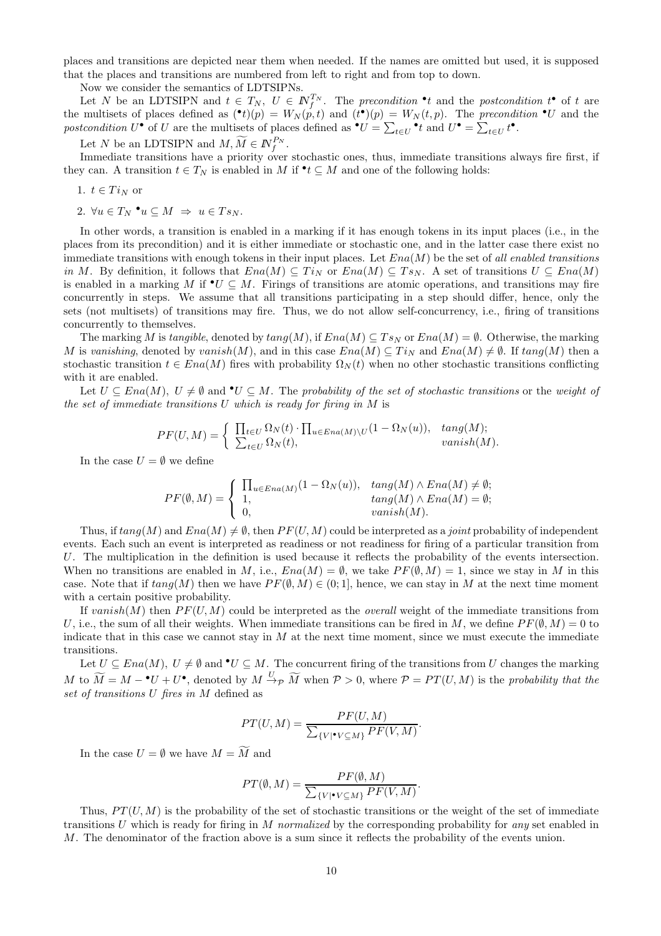places and transitions are depicted near them when needed. If the names are omitted but used, it is supposed that the places and transitions are numbered from left to right and from top to down.

Now we consider the semantics of LDTSIPNs.

Let N be an LDTSIPN and  $t \in T_N$ ,  $U \in \mathbb{N}_{f}^{T_N}$ . The precondition  $\cdot t$  and the postcondition  $t^{\bullet}$  of t are the multisets of places defined as  $(\bullet t)(p) = W_N(p,t)$  and  $(t^{\bullet})(p) = W_N(t,p)$ . The precondition  $\bullet U$  and the postcondition  $U^{\bullet}$  of U are the multisets of places defined as  $^{\bullet}U = \sum_{t \in U}^{\bullet} t$  and  $U^{\bullet} = \sum_{t \in U} t^{\bullet}$ .

Let N be an LDTSIPN and  $M, \widetilde{M} \in \mathbb{N}_{f}^{P_N}$ .

Immediate transitions have a priority over stochastic ones, thus, immediate transitions always fire first, if they can. A transition  $t \in T_N$  is enabled in M if  $\mathbf{t} \subseteq M$  and one of the following holds:

1. 
$$
t \in Ti_N
$$
 or

2.  $\forall u \in T_N \bullet u \subseteq M \Rightarrow u \in Ts_N$ .

In other words, a transition is enabled in a marking if it has enough tokens in its input places (i.e., in the places from its precondition) and it is either immediate or stochastic one, and in the latter case there exist no immediate transitions with enough tokens in their input places. Let  $Ena(M)$  be the set of all enabled transitions in M. By definition, it follows that  $Ena(M) \subseteq Ti_N$  or  $Ena(M) \subseteq Ts_N$ . A set of transitions  $U \subseteq Ena(M)$ is enabled in a marking M if  $\mathbf{v} \subseteq M$ . Firings of transitions are atomic operations, and transitions may fire concurrently in steps. We assume that all transitions participating in a step should differ, hence, only the sets (not multisets) of transitions may fire. Thus, we do not allow self-concurrency, i.e., firing of transitions concurrently to themselves.

The marking M is tangible, denoted by  $tang(M)$ , if  $Ena(M) \subseteq Ts_N$  or  $Ena(M) = \emptyset$ . Otherwise, the marking M is vanishing, denoted by vanish $(M)$ , and in this case  $Ena(M) \subseteq Ti<sub>N</sub>$  and  $Ena(M) \neq \emptyset$ . If  $tang(M)$  then a stochastic transition  $t \in Ena(M)$  fires with probability  $\Omega_N(t)$  when no other stochastic transitions conflicting with it are enabled.

Let  $U \subseteq Ena(M)$ ,  $U \neq \emptyset$  and  $\bullet U \subseteq M$ . The probability of the set of stochastic transitions or the weight of the set of immediate transitions  $U$  which is ready for firing in  $M$  is

$$
PF(U, M) = \begin{cases} \prod_{t \in U} \Omega_N(t) \cdot \prod_{u \in Ena(M) \setminus U} (1 - \Omega_N(u)), & \tan(g(M)); \\ \sum_{t \in U} \Omega_N(t), & \tanish(M). \end{cases}
$$

In the case  $U = \emptyset$  we define

$$
PF(\emptyset, M) = \begin{cases} \prod_{u \in Ena(M)} (1 - \Omega_N(u)), & \tan(g(M) \wedge Ena(M) \neq \emptyset; \\ 1, & \tan(g(M) \wedge Ena(M) = \emptyset; \\ 0, & \tanish(M). \end{cases}
$$

Thus, if  $tang(M)$  and  $Ena(M) \neq \emptyset$ , then  $PF(U, M)$  could be interpreted as a *joint* probability of independent events. Each such an event is interpreted as readiness or not readiness for firing of a particular transition from U. The multiplication in the definition is used because it reflects the probability of the events intersection. When no transitions are enabled in M, i.e.,  $Ena(M) = \emptyset$ , we take  $PF(\emptyset, M) = 1$ , since we stay in M in this case. Note that if  $tan q(M)$  then we have  $PF(\emptyset, M) \in (0, 1]$ , hence, we can stay in M at the next time moment with a certain positive probability.

If vanish(M) then  $PF(U, M)$  could be interpreted as the *overall* weight of the immediate transitions from U, i.e., the sum of all their weights. When immediate transitions can be fired in M, we define  $PF(\emptyset, M) = 0$  to indicate that in this case we cannot stay in  $M$  at the next time moment, since we must execute the immediate transitions.

Let  $U \subseteq Ena(M), U \neq \emptyset$  and  $\bullet U \subseteq M$ . The concurrent firing of the transitions from U changes the marking M to  $\widetilde{M} = M - {}^{\bullet}U + U^{\bullet}$ , denoted by  $M \stackrel{U}{\to} p \widetilde{M}$  when  $P > 0$ , where  $P = PT(U, M)$  is the probability that the set of transitions U fires in M defined as

$$
PT(U, M) = \frac{PF(U, M)}{\sum_{\{V | \bullet V \subseteq M\}} PF(V, M)}
$$

.

In the case  $U=\emptyset$  we have  $M=\widetilde{M}$  and

$$
PT(\emptyset, M) = \frac{PF(\emptyset, M)}{\sum_{\{V | \bullet V \subseteq M\}} PF(V, M)}.
$$

Thus,  $PT(U, M)$  is the probability of the set of stochastic transitions or the weight of the set of immediate transitions U which is ready for firing in M normalized by the corresponding probability for any set enabled in M. The denominator of the fraction above is a sum since it reflects the probability of the events union.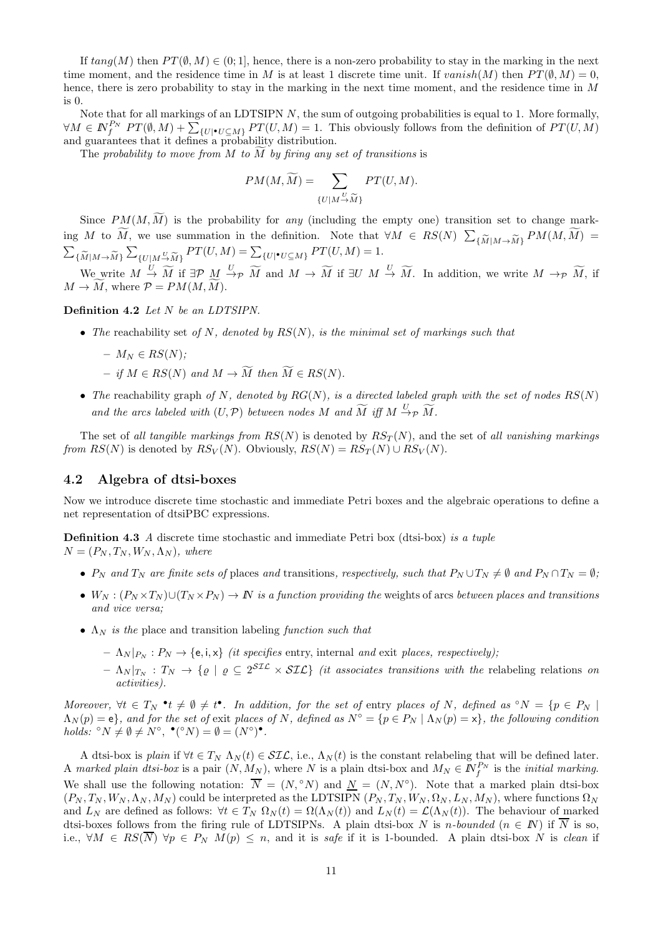If  $tang(M)$  then  $PT(\emptyset, M) \in (0, 1]$ , hence, there is a non-zero probability to stay in the marking in the next time moment, and the residence time in M is at least 1 discrete time unit. If vanish $(M)$  then  $PT(\emptyset, M) = 0$ , hence, there is zero probability to stay in the marking in the next time moment, and the residence time in M  $is<sub>0</sub>$ 

Note that for all markings of an LDTSIPN  $N$ , the sum of outgoing probabilities is equal to 1. More formally,  $\forall M \in \mathbb{N}^{P_N}_{f}$   $PT(\emptyset, M) + \sum_{\{U \mid \bullet U \subseteq M\}} PT(U, M) = 1$ . This obviously follows from the definition of  $PT(U, M)$ and guarantees that it defines a probability distribution.

The probability to move from M to  $\widetilde{M}$  by firing any set of transitions is

$$
PM(M, \widetilde{M}) = \sum_{\{U \mid M \to \widetilde{M}\}} PT(U, M).
$$

Since  $PM(M, \widetilde{M})$  is the probability for any (including the empty one) transition set to change marking M to  $\widetilde{M}$ , we use summation in the definition. Note that  $\forall M \in RS(N)$   $\sum$  $\{\widetilde{M}|M \to \widetilde{M}\}$   $PM(M, M) =$  $\sum$  ${M|M\rightarrow M}$  $\sum_{\{U|M\stackrel{U}{\to}\widetilde{M}\}}PT(U,M)=\sum_{\{U|\bullet U\subseteq M\}}PT(U,M)=1.$ 

We write  $M \stackrel{U}{\to} \widetilde{M}$  if  $\exists \mathcal{P} \stackrel{U}{\to} \mathcal{P} \stackrel{\widetilde{M}}{\to} \widetilde{M}$  and  $M \to \widetilde{M}$  if  $\exists U \stackrel{U}{\to} \widetilde{M}$ . In addition, we write  $M \to \mathcal{P} \stackrel{\widetilde{M}}{\to} \widetilde{M}$ , if  $M \to \widetilde{M}$ , where  $\mathcal{P} = PM(M, \widetilde{M})$ .

#### Definition 4.2 Let N be an LDTSIPN.

• The reachability set of N, denoted by  $RS(N)$ , is the minimal set of markings such that

$$
- M_N \in RS(N);
$$

- $-$  if  $M \in RS(N)$  and  $M \to \widetilde{M}$  then  $\widetilde{M} \in RS(N)$ .
- The reachability graph of N, denoted by  $RG(N)$ , is a directed labeled graph with the set of nodes  $RS(N)$ and the arcs labeled with  $(U, \mathcal{P})$  between nodes M and  $\widetilde{M}$  iff  $M \xrightarrow{U} \widetilde{p} \widetilde{M}$ .

The set of all tangible markings from  $RS(N)$  is denoted by  $RS_T(N)$ , and the set of all vanishing markings from  $RS(N)$  is denoted by  $RS_V(N)$ . Obviously,  $RS(N) = RS_T(N) \cup RS_V(N)$ .

#### 4.2 Algebra of dtsi-boxes

Now we introduce discrete time stochastic and immediate Petri boxes and the algebraic operations to define a net representation of dtsiPBC expressions.

**Definition 4.3** A discrete time stochastic and immediate Petri box (dtsi-box) is a tuple  $N = (P_N, T_N, W_N, \Lambda_N)$ , where

- $P_N$  and  $T_N$  are finite sets of places and transitions, respectively, such that  $P_N \cup T_N \neq \emptyset$  and  $P_N \cap T_N = \emptyset$ ;
- $W_N : (P_N \times T_N) \cup (T_N \times P_N) \to \mathbb{N}$  is a function providing the weights of arcs between places and transitions and vice versa;
- $\Lambda_N$  is the place and transition labeling function such that
	- $-\Lambda_N|_{P_N}: P_N \to \{e, i, x\}$  *(it specifies entry, internal and exit places, respectively);*
	- $\Lambda_N |_{T_N} : T_N \to \{ \varrho \mid \varrho \subseteq 2^{\text{STL}} \times \text{STL} \}$  (it associates transitions with the relabeling relations on activities).

Moreover,  $\forall t \in T_N \cdot t \neq \emptyset \neq t^{\bullet}$ . In addition, for the set of entry places of N, defined as  $\circ N = \{p \in P_N \mid$  $\Lambda_N(p) = e$ , and for the set of exit places of N, defined as  $N^{\circ} = \{p \in P_N \mid \Lambda_N(p) = x\}$ , the following condition holds:  ${}^{\circ}N \neq \emptyset \neq N^{\circ}, \bullet({}^{\circ}N) = \emptyset = (N^{\circ})^{\bullet}.$ 

A dtsi-box is plain if  $\forall t \in T_N \Lambda_N(t) \in \mathcal{SIL}$ , i.e.,  $\Lambda_N(t)$  is the constant relabeling that will be defined later. A marked plain dtsi-box is a pair  $(N, M_N)$ , where N is a plain dtsi-box and  $M_N \in \mathbb{N}_{f}^{P_N}$  is the *initial marking*. We shall use the following notation:  $\overline{N} = (N, \degree N)$  and  $\underline{N} = (N, N^{\degree})$ . Note that a marked plain dtsi-box  $(P_N, T_N, W_N, \Lambda_N, M_N)$  could be interpreted as the LDTSIPN  $(P_N, T_N, W_N, \Omega_N, L_N, M_N)$ , where functions  $\Omega_N$ and  $L_N$  are defined as follows:  $\forall t \in T_N \Omega_N(t) = \Omega(\Lambda_N(t))$  and  $L_N(t) = \mathcal{L}(\Lambda_N(t))$ . The behaviour of marked dtsi-boxes follows from the firing rule of LDTSIPNs. A plain dtsi-box N is n-bounded  $(n \in N)$  if  $\overline{N}$  is so, i.e.,  $\forall M \in RS(\overline{N}) \ \forall p \in P_N \ M(p) \leq n$ , and it is safe if it is 1-bounded. A plain dtsi-box N is clean if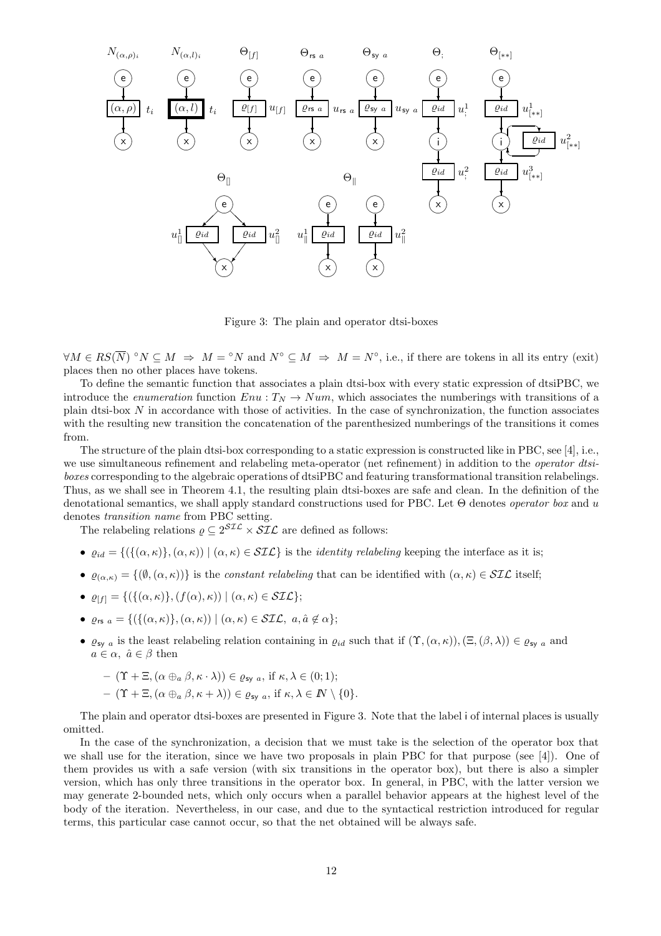

Figure 3: The plain and operator dtsi-boxes

 $\forall M \in RS(\overline{N})^\circ N \subseteq M \Rightarrow M = \circ N$  and  $N^\circ \subseteq M \Rightarrow M = N^\circ$ , i.e., if there are tokens in all its entry (exit) places then no other places have tokens.

To define the semantic function that associates a plain dtsi-box with every static expression of dtsiPBC, we introduce the *enumeration* function  $Env : T_N \to Num$ , which associates the numberings with transitions of a plain dtsi-box  $N$  in accordance with those of activities. In the case of synchronization, the function associates with the resulting new transition the concatenation of the parenthesized numberings of the transitions it comes from.

The structure of the plain dtsi-box corresponding to a static expression is constructed like in PBC, see [4], i.e., we use simultaneous refinement and relabeling meta-operator (net refinement) in addition to the *operator dtsi*boxes corresponding to the algebraic operations of dtsiPBC and featuring transformational transition relabelings. Thus, as we shall see in Theorem 4.1, the resulting plain dtsi-boxes are safe and clean. In the definition of the denotational semantics, we shall apply standard constructions used for PBC. Let  $\Theta$  denotes *operator box* and u denotes transition name from PBC setting.

The relabeling relations  $\rho \subseteq 2^{\mathcal{SIL}} \times \mathcal{SIL}$  are defined as follows:

- $\varrho_{id} = \{(\{(\alpha, \kappa)\}, (\alpha, \kappa)) \mid (\alpha, \kappa) \in \mathcal{SIL}\}\$ is the *identity relabeling* keeping the interface as it is;
- $\varrho_{(\alpha,\kappa)} = \{(\emptyset, (\alpha,\kappa))\}$  is the constant relabeling that can be identified with  $(\alpha,\kappa) \in \mathcal{SIL}$  itself;
- $\varrho_{[f]} = \{ (\{(\alpha, \kappa)\}, (f(\alpha), \kappa)) \mid (\alpha, \kappa) \in \mathcal{SL} \};$
- $\varrho_{rs\ a} = \{ (\{ (\alpha, \kappa) \}, (\alpha, \kappa)) \mid (\alpha, \kappa) \in \mathcal{SIL}, \ a, \hat{a} \notin \alpha \};$
- $\varrho_{\text{sy }a}$  is the least relabeling relation containing in  $\varrho_{id}$  such that if  $(\Upsilon,(\alpha,\kappa)),(\Xi,(\beta,\lambda))\in\varrho_{\text{sy }a}$  and  $a \in \alpha$ ,  $\hat{a} \in \beta$  then

$$
- (\Upsilon + \Xi, (\alpha \oplus_{a} \beta, \kappa \cdot \lambda)) \in \varrho_{\text{sy } a}, \text{ if } \kappa, \lambda \in (0; 1);
$$
  
- (\Upsilon + \Xi, (\alpha \oplus\_{a} \beta, \kappa + \lambda)) \in \varrho\_{\text{sy } a}, \text{ if } \kappa, \lambda \in \mathbb{N} \setminus \{0\}.

The plain and operator dtsi-boxes are presented in Figure 3. Note that the label i of internal places is usually omitted.

In the case of the synchronization, a decision that we must take is the selection of the operator box that we shall use for the iteration, since we have two proposals in plain PBC for that purpose (see [4]). One of them provides us with a safe version (with six transitions in the operator box), but there is also a simpler version, which has only three transitions in the operator box. In general, in PBC, with the latter version we may generate 2-bounded nets, which only occurs when a parallel behavior appears at the highest level of the body of the iteration. Nevertheless, in our case, and due to the syntactical restriction introduced for regular terms, this particular case cannot occur, so that the net obtained will be always safe.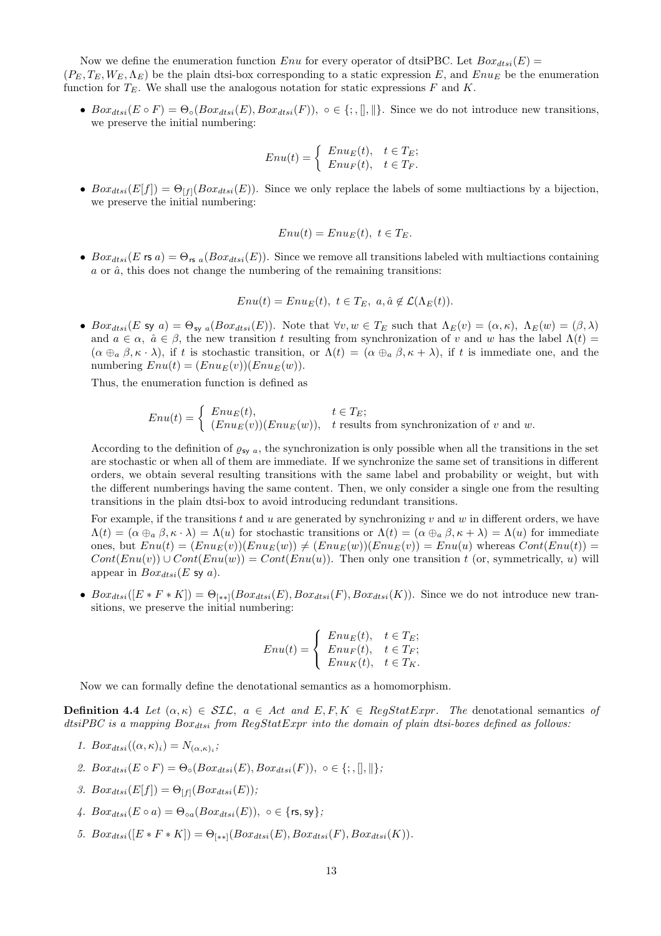Now we define the enumeration function Enu for every operator of dtsiPBC. Let  $Box_{dtsi}(E)$  =  $(P_E, T_E, W_E, \Lambda_E)$  be the plain dtsi-box corresponding to a static expression E, and Enu<sub>E</sub> be the enumeration function for  $T_E$ . We shall use the analogous notation for static expressions  $F$  and  $K$ .

•  $Box_{dtsi}(E \circ F) = \Theta_{\circ}(Box_{dtsi}(E),Box_{dtsi}(F)), \circ \in \{\, ; , \|, \| \}.$  Since we do not introduce new transitions, we preserve the initial numbering:

$$
Enu(t) = \begin{cases} Enu_E(t), & t \in T_E; \\ Enu_F(t), & t \in T_F. \end{cases}
$$

• Box<sub>dtsi</sub>(E[f]) =  $\Theta_{[f]}(Box_{dtsi}(E))$ . Since we only replace the labels of some multiactions by a bijection, we preserve the initial numbering:

$$
Enu(t) = EnuE(t), t \in TE.
$$

• Box<sub>dtsi</sub>(E rs a) =  $\Theta_{rs}$  a(Box<sub>dtsi</sub>(E)). Since we remove all transitions labeled with multiactions containing  $a$  or  $\hat{a}$ , this does not change the numbering of the remaining transitions:

$$
Enu(t) = EnuE(t), t \in TE, a, \hat{a} \notin \mathcal{L}(\Lambda_E(t)).
$$

•  $Box_{dist}(E \text{ sy } a) = \Theta_{\text{sy } a}(Box_{dist}(E))$ . Note that  $\forall v, w \in T_E$  such that  $\Lambda_E(v) = (\alpha, \kappa), \Lambda_E(w) = (\beta, \lambda)$ and  $a \in \alpha$ ,  $\hat{a} \in \beta$ , the new transition t resulting from synchronization of v and w has the label  $\Lambda(t)$  $(\alpha \oplus_{a} \beta, \kappa \cdot \lambda)$ , if t is stochastic transition, or  $\Lambda(t) = (\alpha \oplus_{a} \beta, \kappa + \lambda)$ , if t is immediate one, and the numbering  $Env(t) = (Env<sub>E</sub>(v))(Env<sub>E</sub>(w)).$ 

Thus, the enumeration function is defined as

$$
Enu(t) = \begin{cases} Enu_E(t), & t \in T_E; \\ (Enu_E(v))(Enu_E(w)), & t \text{ results from synchronization of } v \text{ and } w. \end{cases}
$$

According to the definition of  $\varrho_{sy}$  a, the synchronization is only possible when all the transitions in the set are stochastic or when all of them are immediate. If we synchronize the same set of transitions in different orders, we obtain several resulting transitions with the same label and probability or weight, but with the different numberings having the same content. Then, we only consider a single one from the resulting transitions in the plain dtsi-box to avoid introducing redundant transitions.

For example, if the transitions t and u are generated by synchronizing v and w in different orders, we have  $\Lambda(t) = (\alpha \oplus_{a} \beta, \kappa \cdot \lambda) = \Lambda(u)$  for stochastic transitions or  $\Lambda(t) = (\alpha \oplus_{a} \beta, \kappa + \lambda) = \Lambda(u)$  for immediate ones, but  $Env(t) = (Env<sub>E</sub>(v))(Env<sub>E</sub>(w)) \neq (Env<sub>E</sub>(w))(Env<sub>E</sub>(v)) = Env(u)$  whereas  $Cont(Env(t)) =$  $Cont(Enu(v)) \cup Cont(Enu(w)) = Cont(Enu(u))$ . Then only one transition t (or, symmetrically, u) will appear in  $Box_{dtsi}(E \text{ sy } a)$ .

•  $Box_{dist}([E * F * K]) = \Theta_{(**1}(Box_{dist}(E),Box_{dist}(F),Box_{dist}(K)).$  Since we do not introduce new transitions, we preserve the initial numbering:

$$
Enu(t) = \begin{cases} Enu_E(t), & t \in T_E; \\ Enu_F(t), & t \in T_F; \\ Enu_K(t), & t \in T_K. \end{cases}
$$

Now we can formally define the denotational semantics as a homomorphism.

**Definition 4.4** Let  $(\alpha, \kappa) \in SLC$ ,  $a \in Act$  and  $E, F, K \in RegStatExpr$ . The denotational semantics of dtsiPBC is a mapping  $Box_{atsi}$  from  $RegStatExpr$  into the domain of plain dtsi-boxes defined as follows:

- 1.  $Box_{dtsi}((\alpha,\kappa)_i)=N_{(\alpha,\kappa)_i};$
- 2.  $Box_{dtsi}(E \circ F) = \Theta_{\circ}(Box_{dtsi}(E),Box_{dtsi}(F)), \circ \in \{; , \|, \| \};$
- 3.  $Box_{dtsi}(E[f]) = \Theta_{[f]}(Box_{dtsi}(E));$
- 4.  $Box_{def}$  $(E \circ a) = \Theta_{eq}(Box_{def} (E))$ ,  $\circ \in \{rs, sv\}$ ;
- 5.  $Box_{dtsi}([E * F * K]) = \Theta_{[**]}(Box_{dtsi}(E), Box_{dtsi}(F), Box_{dtsi}(K)).$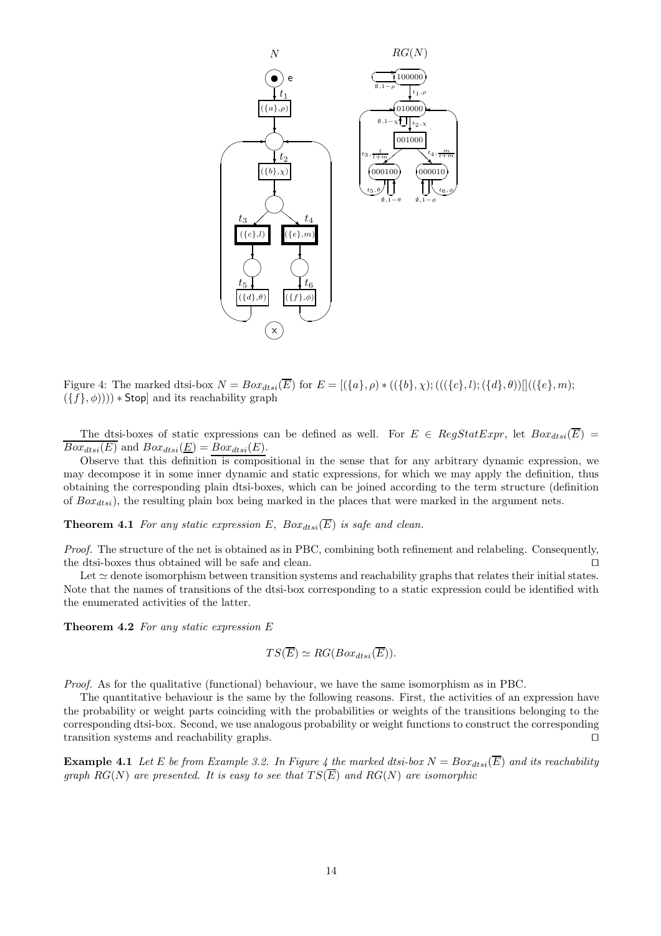

Figure 4: The marked dtsi-box  $N = Box_{dtsi}(\overline{E})$  for  $E = [(\{a\}, \rho) * ((\{b\}, \chi); (((\{c\}, l); (\{d\}, \theta))]]((\{e\}, m);$  $(\{f\}, \phi)))$  \* Stop] and its reachability graph

The dtsi-boxes of static expressions can be defined as well. For  $E \in RegStatexpr$ , let  $Box_{dist}(\overline{E})$  =  $Box_{dtsi}(E)$  and  $Box_{dtsi}(\underline{E}) = Box_{dtsi}(E)$ .

Observe that this definition is compositional in the sense that for any arbitrary dynamic expression, we may decompose it in some inner dynamic and static expressions, for which we may apply the definition, thus obtaining the corresponding plain dtsi-boxes, which can be joined according to the term structure (definition of  $Box_{dtsi}$ , the resulting plain box being marked in the places that were marked in the argument nets.

**Theorem 4.1** For any static expression E,  $Box_{dtsi}(\overline{E})$  is safe and clean.

Proof. The structure of the net is obtained as in PBC, combining both refinement and relabeling. Consequently, the dtsi-boxes thus obtained will be safe and clean. ⊓⊔

Let ≃ denote isomorphism between transition systems and reachability graphs that relates their initial states. Note that the names of transitions of the dtsi-box corresponding to a static expression could be identified with the enumerated activities of the latter.

**Theorem 4.2** For any static expression  $E$ 

$$
TS(\overline{E}) \simeq RG(Box_{dtsi}(\overline{E})).
$$

Proof. As for the qualitative (functional) behaviour, we have the same isomorphism as in PBC.

The quantitative behaviour is the same by the following reasons. First, the activities of an expression have the probability or weight parts coinciding with the probabilities or weights of the transitions belonging to the corresponding dtsi-box. Second, we use analogous probability or weight functions to construct the corresponding transition systems and reachability graphs. ⊓⊔

**Example 4.1** Let E be from Example 3.2. In Figure 4 the marked dtsi-box  $N = Box_{dts}(\overline{E})$  and its reachability graph  $RG(N)$  are presented. It is easy to see that  $TS(\overline{E})$  and  $RG(N)$  are isomorphic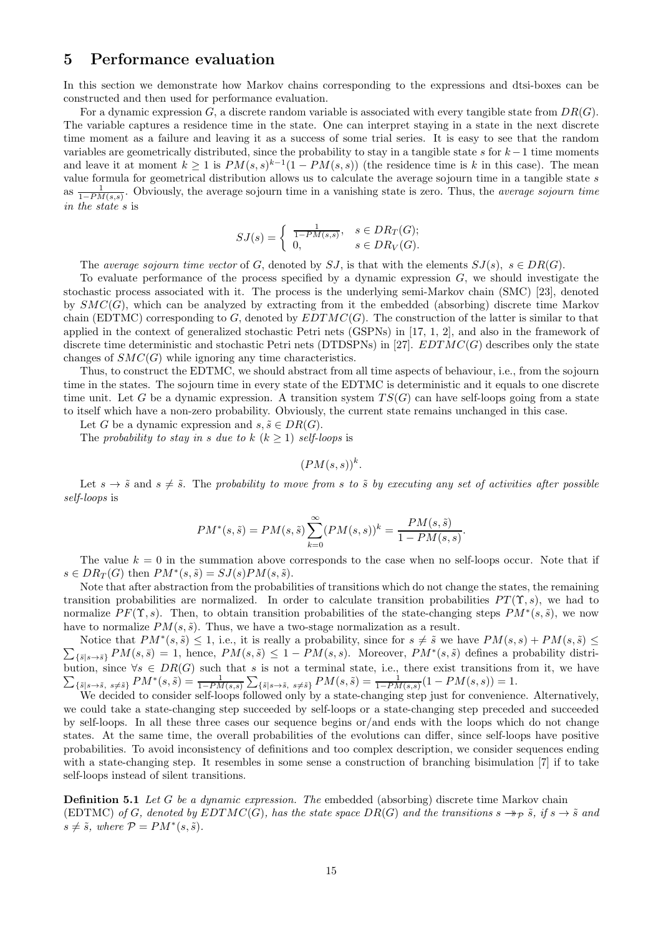### 5 Performance evaluation

In this section we demonstrate how Markov chains corresponding to the expressions and dtsi-boxes can be constructed and then used for performance evaluation.

For a dynamic expression G, a discrete random variable is associated with every tangible state from  $DR(G)$ . The variable captures a residence time in the state. One can interpret staying in a state in the next discrete time moment as a failure and leaving it as a success of some trial series. It is easy to see that the random variables are geometrically distributed, since the probability to stay in a tangible state s for  $k-1$  time moments and leave it at moment  $k \geq 1$  is  $PM(s, s)^{k-1}(1 - PM(s, s))$  (the residence time is k in this case). The mean value formula for geometrical distribution allows us to calculate the average sojourn time in a tangible state  $s$ as  $\frac{1}{1-PM(s,s)}$ . Obviously, the average sojourn time in a vanishing state is zero. Thus, the *average sojourn time* in the state s is

$$
SJ(s) = \begin{cases} \frac{1}{1 - PM(s, s)}, & s \in DR_T(G); \\ 0, & s \in DR_V(G). \end{cases}
$$

The average sojourn time vector of G, denoted by SJ, is that with the elements  $SJ(s)$ ,  $s \in DR(G)$ .

To evaluate performance of the process specified by a dynamic expression  $G$ , we should investigate the stochastic process associated with it. The process is the underlying semi-Markov chain (SMC) [23], denoted by  $SMC(G)$ , which can be analyzed by extracting from it the embedded (absorbing) discrete time Markov chain (EDTMC) corresponding to G, denoted by  $EDTMC(G)$ . The construction of the latter is similar to that applied in the context of generalized stochastic Petri nets (GSPNs) in [17, 1, 2], and also in the framework of discrete time deterministic and stochastic Petri nets (DTDSPNs) in [27].  $EDTMC(G)$  describes only the state changes of  $SMC(G)$  while ignoring any time characteristics.

Thus, to construct the EDTMC, we should abstract from all time aspects of behaviour, i.e., from the sojourn time in the states. The sojourn time in every state of the EDTMC is deterministic and it equals to one discrete time unit. Let G be a dynamic expression. A transition system  $TS(G)$  can have self-loops going from a state to itself which have a non-zero probability. Obviously, the current state remains unchanged in this case.

Let G be a dynamic expression and  $s, \tilde{s} \in DR(G)$ .

The probability to stay in s due to  $k$  ( $k \geq 1$ ) self-loops is

 $(PM(s, s))^{k}.$ 

Let  $s \to \tilde{s}$  and  $s \neq \tilde{s}$ . The probability to move from s to  $\tilde{s}$  by executing any set of activities after possible self-loops is

$$
PM^*(s, \tilde{s}) = PM(s, \tilde{s}) \sum_{k=0}^{\infty} (PM(s, s))^k = \frac{PM(s, \tilde{s})}{1 - PM(s, s)}.
$$

The value  $k = 0$  in the summation above corresponds to the case when no self-loops occur. Note that if  $s \in DR_T(G)$  then  $PM^*(s, \tilde{s}) = SJ(s)PM(s, \tilde{s}).$ 

Note that after abstraction from the probabilities of transitions which do not change the states, the remaining transition probabilities are normalized. In order to calculate transition probabilities  $PT(\Upsilon, s)$ , we had to normalize  $PF(\Upsilon, s)$ . Then, to obtain transition probabilities of the state-changing steps  $PM^*(s, \tilde{s})$ , we now have to normalize  $PM(s, \tilde{s})$ . Thus, we have a two-stage normalization as a result.

Notice that  $PM^*(s, \tilde{s}) \leq 1$ , i.e., it is really a probability, since for  $s \neq \tilde{s}$  we have  $PM(s, s) + PM(s, \tilde{s}) \leq$  $\sum_{\{\bar{s}|s\to\bar{s}\}}PM(s,\bar{s})=1$ , hence,  $PM(s,\tilde{s})\leq 1-PM(s,s)$ . Moreover,  $PM^*(s,\tilde{s})$  defines a probability distribution, since  $\sum$  $\forall s \in DR(G)$  such that s is not a terminal state, i.e., there exist transitions from it, we have  ${\{s_{|s\to \tilde s,\;s\neq \tilde s\}}}\,PM^*(s,\tilde s)=\frac{1}{1-PM(s,s)}\sum_{\{\tilde s\mid s\to \tilde s,\;s\neq \tilde s\}}PM(s,\tilde s)=\frac{1}{1-PM(s,s)}(1-PM(s,s))=1.$ 

We decided to consider self-loops followed only by a state-changing step just for convenience. Alternatively, we could take a state-changing step succeeded by self-loops or a state-changing step preceded and succeeded by self-loops. In all these three cases our sequence begins or/and ends with the loops which do not change states. At the same time, the overall probabilities of the evolutions can differ, since self-loops have positive probabilities. To avoid inconsistency of definitions and too complex description, we consider sequences ending with a state-changing step. It resembles in some sense a construction of branching bisimulation [7] if to take self-loops instead of silent transitions.

**Definition 5.1** Let G be a dynamic expression. The embedded (absorbing) discrete time Markov chain (EDTMC) of G, denoted by  $EDTMC(G)$ , has the state space  $DR(G)$  and the transitions  $s \rightarrow_{\mathcal{P}} \tilde{s}$ , if  $s \rightarrow \tilde{s}$  and  $s \neq \tilde{s}$ , where  $\mathcal{P} = PM^*(s, \tilde{s})$ .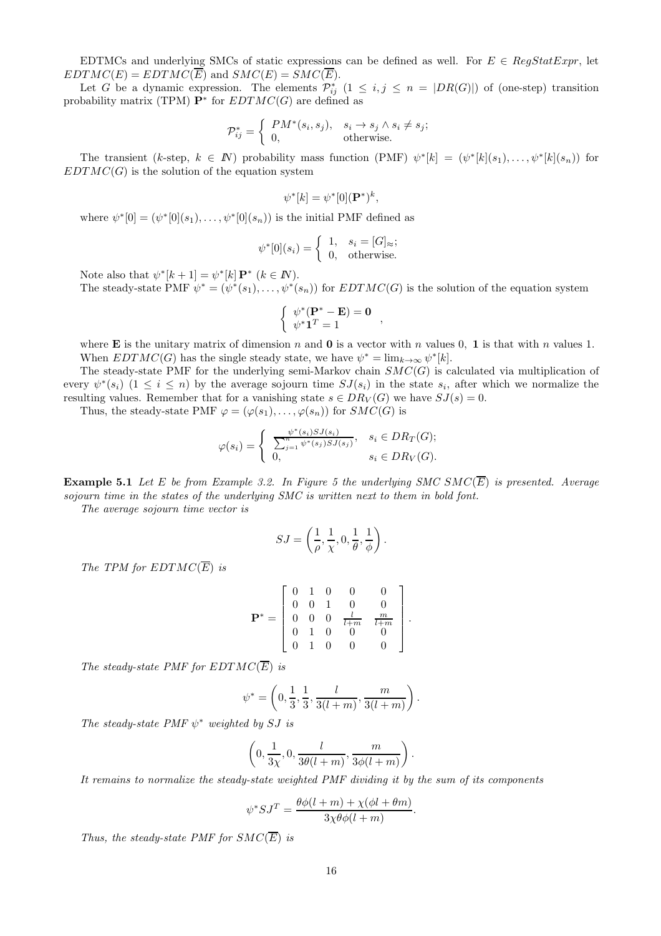EDTMCs and underlying SMCs of static expressions can be defined as well. For  $E \in \text{RegStatExpr}$ , let  $EDTMC(E) = EDTMC(\overline{E})$  and  $SMC(E) = SMC(\overline{E}).$ 

Let G be a dynamic expression. The elements  $\mathcal{P}_{ij}^*$   $(1 \leq i, j \leq n = |DR(G)|)$  of (one-step) transition probability matrix (TPM)  $\mathbf{P}^*$  for  $EDTMC(G)$  are defined as

$$
\mathcal{P}_{ij}^* = \begin{cases} PM^*(s_i, s_j), & s_i \to s_j \land s_i \neq s_j; \\ 0, & \text{otherwise.} \end{cases}
$$

The transient (k-step,  $k \in \mathbb{N}$ ) probability mass function (PMF)  $\psi^*[k] = (\psi^*[k](s_1), \ldots, \psi^*[k](s_n))$  for  $EDTMC(G)$  is the solution of the equation system

$$
\psi^*[k] = \psi^*[0]({\mathbf P}^*)^k,
$$

where  $\psi^*[0] = (\psi^*[0](s_1), \ldots, \psi^*[0](s_n))$  is the initial PMF defined as

$$
\psi^*[0](s_i) = \begin{cases} 1, & s_i = [G]_{\approx}; \\ 0, & \text{otherwise.} \end{cases}
$$

Note also that  $\psi^*[k+1] = \psi^*[k] \mathbf{P}^*$   $(k \in \mathbb{N})$ .

The steady-state PMF  $\psi^* = (\psi^*(s_1), \dots, \psi^*(s_n))$  for  $EDTMC(G)$  is the solution of the equation system

$$
\begin{cases} \psi^*(\mathbf{P}^* - \mathbf{E}) = \mathbf{0} \\ \psi^* \mathbf{1}^T = 1 \end{cases}
$$

where **E** is the unitary matrix of dimension n and **0** is a vector with n values 0, 1 is that with n values 1. When  $EDTMC(G)$  has the single steady state, we have  $\psi^* = \lim_{k \to \infty} \psi^*[k]$ .

The steady-state PMF for the underlying semi-Markov chain  $SMC(G)$  is calculated via multiplication of every  $\psi^*(s_i)$   $(1 \leq i \leq n)$  by the average sojourn time  $SJ(s_i)$  in the state  $s_i$ , after which we normalize the resulting values. Remember that for a vanishing state  $s \in DR_V(G)$  we have  $SJ(s) = 0$ .

Thus, the steady-state PMF  $\varphi = (\varphi(s_1), \ldots, \varphi(s_n))$  for  $SMC(G)$  is

$$
\varphi(s_i) = \begin{cases} \frac{\psi^*(s_i) S J(s_i)}{\sum_{j=1}^n \psi^*(s_j) S J(s_j)}, & s_i \in DR_T(G); \\ 0, & s_i \in DR_V(G). \end{cases}
$$

**Example 5.1** Let E be from Example 3.2. In Figure 5 the underlying SMC SMC( $\overline{E}$ ) is presented. Average sojourn time in the states of the underlying SMC is written next to them in bold font.

The average sojourn time vector is

$$
SJ = \left(\frac{1}{\rho}, \frac{1}{\chi}, 0, \frac{1}{\theta}, \frac{1}{\phi}\right).
$$

The TPM for  $EDTMC(\overline{E})$  is

$$
\mathbf{P}^* = \left[ \begin{array}{cccccc} 0 & 1 & 0 & 0 & 0 \\ 0 & 0 & 1 & 0 & 0 \\ 0 & 0 & 0 & \frac{l}{l+m} & \frac{m}{l+m} \\ 0 & 1 & 0 & 0 & 0 \\ 0 & 1 & 0 & 0 & 0 \end{array} \right].
$$

The steady-state PMF for  $EDTMC(\overline{E})$  is

$$
\psi^* = \left(0, \frac{1}{3}, \frac{1}{3}, \frac{l}{3(l+m)}, \frac{m}{3(l+m)}\right).
$$

The steady-state PMF  $\psi^*$  weighted by SJ is

$$
\left(0, \frac{1}{3\chi}, 0, \frac{l}{3\theta(l+m)}, \frac{m}{3\phi(l+m)}\right).
$$

It remains to normalize the steady-state weighted PMF dividing it by the sum of its components

$$
\psi^* SJ^T = \frac{\theta \phi(l+m) + \chi(\phi l + \theta m)}{3\chi \theta \phi(l+m)}.
$$

Thus, the steady-state PMF for  $SMC(\overline{E})$  is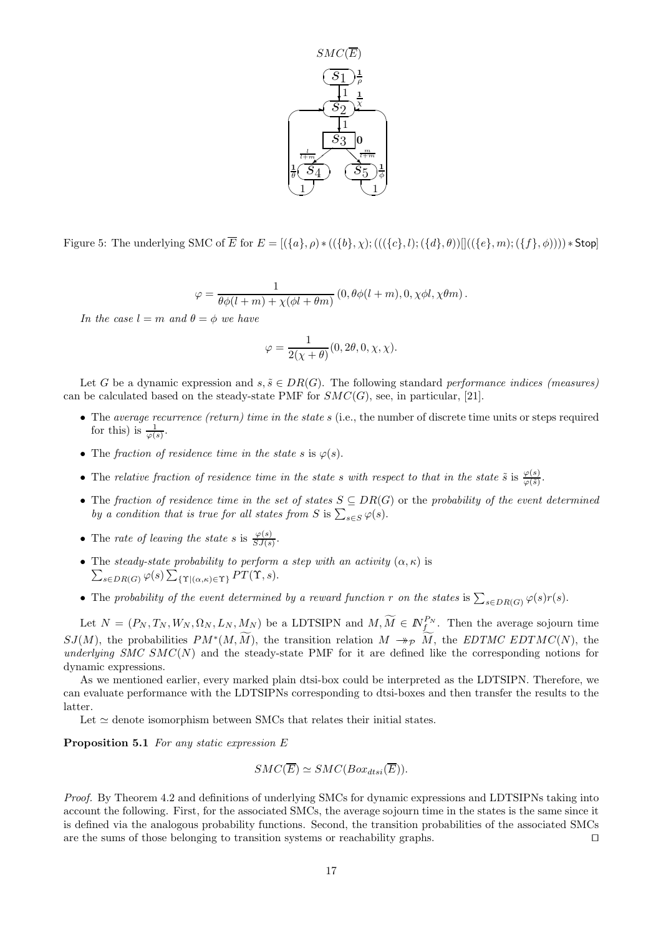

Figure 5: The underlying SMC of  $\overline{E}$  for  $E = [(\{a\}, \rho) * ((\{b\}, \chi) ; (((\{c\}, l) ; (\{d\}, \theta))]((\{e\}, m) ; (\{f\}, \phi)))) * Stop$ 

$$
\varphi = \frac{1}{\theta \phi(l+m) + \chi(\phi l + \theta m)} (0, \theta \phi(l+m), 0, \chi \phi l, \chi \theta m).
$$

In the case  $l = m$  and  $\theta = \phi$  we have

$$
\varphi=\frac{1}{2(\chi+\theta)}(0,2\theta,0,\chi,\chi).
$$

Let G be a dynamic expression and  $s, \tilde{s} \in DR(G)$ . The following standard performance indices (measures) can be calculated based on the steady-state PMF for  $SMC(G)$ , see, in particular, [21].

- The average recurrence (return) time in the state s (i.e., the number of discrete time units or steps required for this) is  $\frac{1}{\varphi(s)}$ .
- The fraction of residence time in the state s is  $\varphi(s)$ .
- The relative fraction of residence time in the state s with respect to that in the state  $\tilde{s}$  is  $\frac{\varphi(s)}{\varphi(\tilde{s})}$ .
- The fraction of residence time in the set of states  $S \subseteq DR(G)$  or the probability of the event determined by a condition that is true for all states from S is  $\sum_{s \in S} \varphi(s)$ .
- The rate of leaving the state s is  $\frac{\varphi(s)}{SJ(s)}$ .
- The steady-state probability to perform a step with an activity  $(\alpha, \kappa)$  is  $\sum_{s \in DR(G)} \varphi(s) \sum_{\{\Upsilon | (\alpha,\kappa) \in \Upsilon\}} PT(\Upsilon, s).$
- The probability of the event determined by a reward function r on the states is  $\sum_{s \in DR(G)} \varphi(s) r(s)$ .

Let  $N = (P_N, T_N, W_N, \Omega_N, L_N, M_N)$  be a LDTSIPN and  $M, \widetilde{M} \in \mathbb{N}_f^{P_N}$ . Then the average sojourn time  $SJ(M)$ , the probabilities  $PM^*(M, \tilde{M})$ , the transition relation  $M \to_{\mathcal{P}} \tilde{M}$ , the EDTMC EDTMC(N), the underlying SMC SMC(N) and the steady-state PMF for it are defined like the corresponding notions for dynamic expressions.

As we mentioned earlier, every marked plain dtsi-box could be interpreted as the LDTSIPN. Therefore, we can evaluate performance with the LDTSIPNs corresponding to dtsi-boxes and then transfer the results to the latter.

Let  $\simeq$  denote isomorphism between SMCs that relates their initial states.

Proposition 5.1 For any static expression E

$$
SMC(\overline{E}) \simeq SMC(Box_{dtsi}(\overline{E})).
$$

Proof. By Theorem 4.2 and definitions of underlying SMCs for dynamic expressions and LDTSIPNs taking into account the following. First, for the associated SMCs, the average sojourn time in the states is the same since it is defined via the analogous probability functions. Second, the transition probabilities of the associated SMCs are the sums of those belonging to transition systems or reachability graphs. ⊓⊔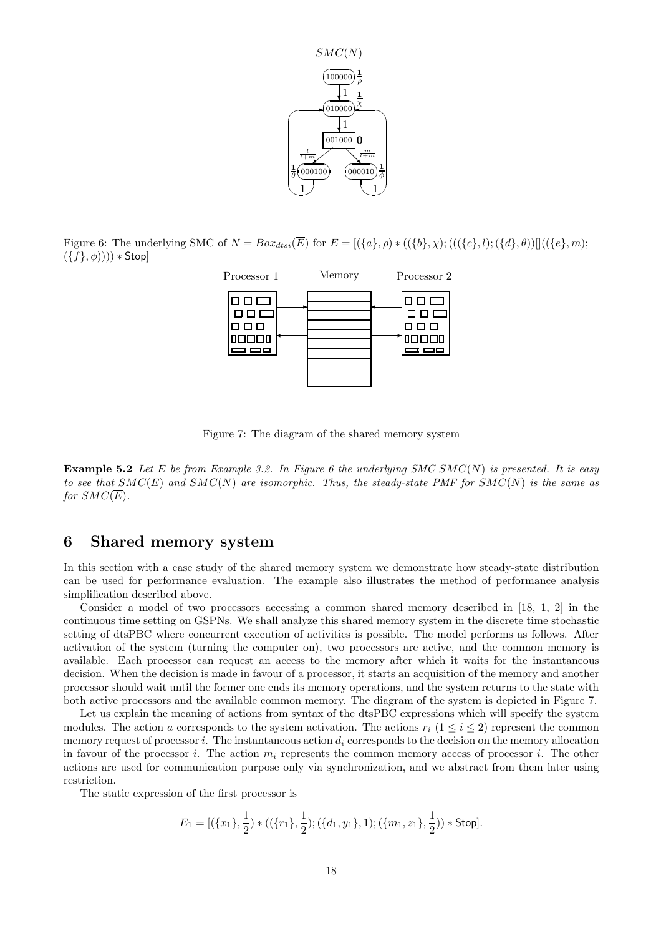

Figure 6: The underlying SMC of  $N = Box_{dtsi}(\overline{E})$  for  $E = [(\lbrace a \rbrace, \rho) * ((\lbrace b \rbrace, \chi); (((\lbrace c \rbrace, l); (\lbrace d \rbrace, \theta))]((\lbrace e \rbrace, m);$  $(\{f\}, \phi))))$  \* Stop]



Figure 7: The diagram of the shared memory system

**Example 5.2** Let E be from Example 3.2. In Figure 6 the underlying SMC SMC(N) is presented. It is easy to see that  $SMC(\overline{E})$  and  $SMC(N)$  are isomorphic. Thus, the steady-state PMF for  $SMC(N)$  is the same as for  $SMC(\overline{E})$ .

### 6 Shared memory system

In this section with a case study of the shared memory system we demonstrate how steady-state distribution can be used for performance evaluation. The example also illustrates the method of performance analysis simplification described above.

Consider a model of two processors accessing a common shared memory described in [18, 1, 2] in the continuous time setting on GSPNs. We shall analyze this shared memory system in the discrete time stochastic setting of dtsPBC where concurrent execution of activities is possible. The model performs as follows. After activation of the system (turning the computer on), two processors are active, and the common memory is available. Each processor can request an access to the memory after which it waits for the instantaneous decision. When the decision is made in favour of a processor, it starts an acquisition of the memory and another processor should wait until the former one ends its memory operations, and the system returns to the state with both active processors and the available common memory. The diagram of the system is depicted in Figure 7.

Let us explain the meaning of actions from syntax of the dtsPBC expressions which will specify the system modules. The action a corresponds to the system activation. The actions  $r_i$  ( $1 \le i \le 2$ ) represent the common memory request of processor i. The instantaneous action  $d_i$  corresponds to the decision on the memory allocation in favour of the processor i. The action  $m_i$  represents the common memory access of processor i. The other actions are used for communication purpose only via synchronization, and we abstract from them later using restriction.

The static expression of the first processor is

$$
E_1 = [(\{x_1\}, \frac{1}{2}) * ((\{r_1\}, \frac{1}{2}); (\{d_1, y_1\}, 1); (\{m_1, z_1\}, \frac{1}{2})) * Stop].
$$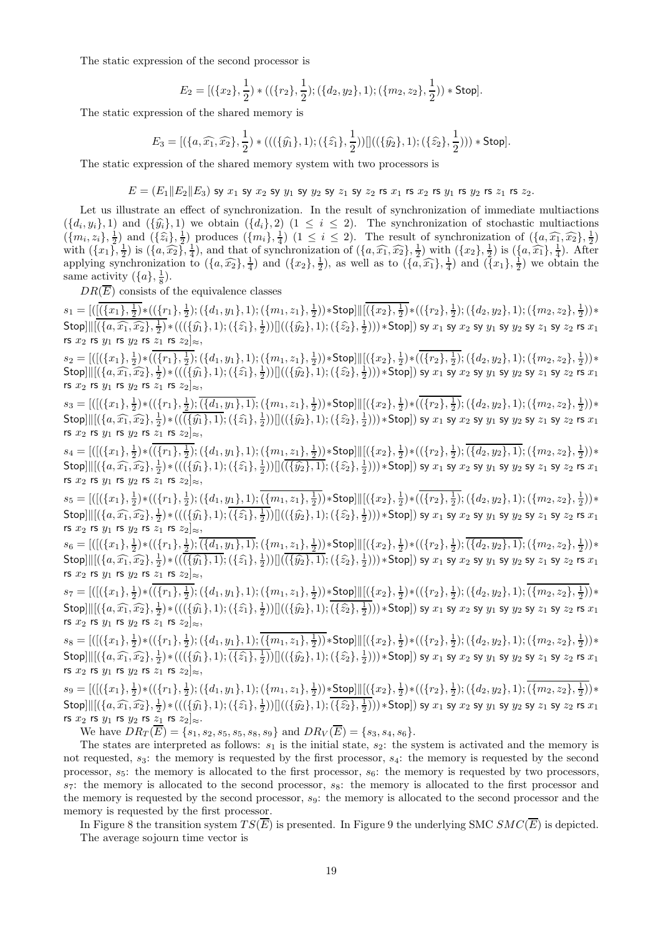The static expression of the second processor is

$$
E_2 = [(\{x_2\}, \frac{1}{2}) * ((\{r_2\}, \frac{1}{2}); (\{d_2, y_2\}, 1); (\{m_2, z_2\}, \frac{1}{2})) * \text{Stop}].
$$

The static expression of the shared memory is

$$
E_3 = [(\{a,\widehat{x_1},\widehat{x_2}\},\frac{1}{2}) * (((\{\widehat{y_1}\},1);(\{\widehat{z_1}\},\frac{1}{2}))]]((\{\widehat{y_2}\},1);(\{\widehat{z_2}\},\frac{1}{2}))) * \text{Stop}].
$$

The static expression of the shared memory system with two processors is

$$
E=(E_1\|E_2\|E_3) \text{ sy } x_1 \text{ sy } x_2 \text{ sy } y_1 \text{ sy } y_2 \text{ sy } z_1 \text{ sy } z_2 \text{ rs } x_1 \text{ rs } x_2 \text{ rs } y_1 \text{ rs } y_2 \text{ rs } z_1 \text{ rs } z_2.
$$

Let us illustrate an effect of synchronization. In the result of synchronization of immediate multiactions  $({d_i,y_i},1)$  and  $({\hat{y}_i},1)$  we obtain  $({d_i},2)$   $(1 \leq i \leq 2)$ . The synchronization of stochastic multiactions  $(\{d_i, y_i\}, 1)$  and  $(\{\hat{y}_i\}, 1)$  we obtain  $(\{d_i\}, 2)$   $(1 \le i \le 2)$ . The synchronization of stochastic multiactions  $(\{m_i, z_i\}, \frac{1}{2})$  and  $(\{\hat{z}_i\}, \frac{1}{2})$  produces  $(\{m_i\}, \frac{1}{4})$   $(1 \le i \le 2)$ . The result of synchroni with  $(\lbrace x_1 \rbrace, \frac{1}{2})$  is  $(\lbrace a, \widehat{x_2} \rbrace, \frac{1}{4})$ , and that of synchronization of  $(\lbrace a, \widehat{x_1}, \widehat{x_2} \rbrace, \frac{1}{2})$  with  $(\lbrace x_2 \rbrace, \frac{1}{2})$  is  $(\lbrace a, \widehat{x_1} \rbrace, \frac{1}{4})$ . After applying synchronization to  $(\{a,\widehat{x_2}\},\frac{1}{4})$  and  $(\{x_2\},\frac{1}{2})$ , as well as to  $(\{a,\widehat{x_1}\},\frac{1}{4})$  and  $(\{x_1\},\frac{1}{2})$  we obtain the same activity  $({a}, \frac{1}{8})$ .

 $DR(\overline{E})$  consists of the equivalence classes

 $s_1=[([(\{x_1\},\frac{1}{2})*((\{r_1\},\frac{1}{2});(\{d_1,y_1\},1);(\{m_1,z_1\},\frac{1}{2})) * \textsf{Stop}] \ | \ [ (\{x_2\},\frac{1}{2})*((\{r_2\},\frac{1}{2});(\{d_2,y_2\},1);(\{m_2,z_2\},\frac{1}{2})) * \textsf{Stop}]$  $\textsf{Stop} \| [(\{a, \widehat{x_1}, \widehat{x_2}\}, \frac{1}{2}) * (((\{\widehat{y_1}\},1); (\{\widehat{z_1}\}, \frac{1}{2})) ] ((\{\widehat{y_2}\},1); (\{\widehat{z_2}\}, \frac{1}{2}) ) ) * \textsf{Stop} ] \text{ by } x_1 \text{ sy } x_2 \text{ sy } y_1 \text{ sy } y_2 \text{ sy } z_1 \text{ sy } z_2 \text{ rs } x_1$ rs  $x_2$  rs  $y_1$  rs  $y_2$  rs  $z_1$  rs  $z_2|_{\approx}$ ,

 $s_2=[([(\{x_1\},\tfrac{1}{2})*((\{r_1\},\tfrac{1}{2});(\{d_1,y_1\},1);(\{m_1,z_1\},\tfrac{1}{2}))*\text{Stop}]| [((\{x_2\},\tfrac{1}{2})*((\{r_2\},\tfrac{1}{2});(\{d_2,y_2\},1);(\{m_2,z_2\},\tfrac{1}{2}))*\text{Prob}]|$  $\text{Stop} \parallel \parallel \left( \{a, \widehat{x_1}, \widehat{x_2}\}, \frac{1}{2} \right) * \left( \left( \left( \{ \widehat{y_1}\}, 1 \right) ; \left( \{\widehat{z_1}\}, \frac{1}{2} \right) \right) \right] \left( \left( \{ \widehat{y_2}\}, 1 \right) ; \left( \{\widehat{z_2}\}, \frac{1}{2} \right) \right) \right) * \text{Stop} \right) \text{ sy } x_1 \text{ sy } x_2 \text{ sy } y_1 \text{ sy } y_2 \text{ sy } z_1 \text{ sy } z_2 \text{ rs } x_1$ rs  $x_2$  rs  $y_1$  rs  $y_2$  rs  $z_1$  rs  $z_2|_{\approx}$ ,

 $s_3=[([(\{x_1\},\frac{1}{2})*((\{r_1\},\frac{1}{2});\overline{(\{d_1,y_1\},1)};(\{m_1,z_1\},\frac{1}{2})) * \textsf{Stop}] \ | \ [ (\{x_2\},\frac{1}{2})*((\{r_2\},\frac{1}{2});(\{d_2,y_2\},1);(\{m_2,z_2\},\frac{1}{2})) * \textsf{Stop}]$  $\textsf{Stop} \| [(\{a, \widehat{x_1}, \widehat{x_2}\}, \frac{1}{2}) * ((\overline{(\{\widehat{y_1}\}, 1)}; (\{\widehat{z_1}\}, \frac{1}{2})) ] ((\{\widehat{y_2}\}, 1); (\{\widehat{z_2}\}, \frac{1}{2}) ) ) * \textsf{Stop} ] \text{ by } x_1 \text{ sy } x_2 \text{ sy } y_1 \text{ sy } y_2 \text{ sy } z_1 \text{ sy } z_2 \text{ rs } x_1$ rs  $x_2$  rs  $y_1$  rs  $y_2$  rs  $z_1$  rs  $z_2|_{\approx}$ ,

 $s_4=[([(\{x_1\},\frac{1}{2})*((\{r_1\},\frac{1}{2});(\{d_1,y_1\},1);(\{m_1,z_1\},\frac{1}{2}))*\textsf{Stop}] \vert \vert \vert (\{x_2\},\frac{1}{2})*((\{r_2\},\frac{1}{2});(\overline{\{d_2,y_2\},1});(\{m_2,z_2\},\frac{1}{2}))*\textsf{stop}]$  $\textsf{Stop} \, || [(\{a, \widehat{x_1}, \widehat{x_2}\}, \frac{1}{2}) * (((\{\widehat{y_1}\}, 1); (\{\widehat{z_1}\}, \frac{1}{2})) || (\overline{(\{\widehat{y_2}\}, 1)}; (\{\widehat{z_2}\}, \frac{1}{2}) ) ) * \textsf{Stop} ] \text{ by } x_1 \text{ sy } x_2 \text{ sy } y_1 \text{ sy } y_2 \text{ sy } z_1 \text{ sy } z_2 \text{ rs } x_1$ rs  $x_2$  rs  $y_1$  rs  $y_2$  rs  $z_1$  rs  $z_2|_{\approx}$ ,

 $s_5=[([(\{x_1\},\frac{1}{2})*((\{r_1\},\frac{1}{2});(\{d_1,y_1\},1);(\{m_1,z_1\},\frac{1}{2})) * \textsf{Stop}] \ | \ [ (\{x_2\},\frac{1}{2})*((\{r_2\},\frac{1}{2});(\{d_2,y_2\},1);(\{m_2,z_2\},\frac{1}{2})) * \textsf{Stop}]$  $\textsf{Stop} \, || [(\{a, \widehat{x_1}, \widehat{x_2}\}, \frac{1}{2}) * (((\{\widehat{y_1}\}, 1); (\{\widehat{z_1}\}, \frac{1}{2})) | [((\{\widehat{y_2}\}, 1); (\{\widehat{z_2}\}, \frac{1}{2}) ) ) * \textsf{Stop} ] ) \text{ sy } x_1 \text{ sy } x_2 \text{ sy } y_1 \text{ sy } y_2 \text{ sy } z_1 \text{ sy } z_2 \text{ rs } x_1$ rs  $x_2$  rs  $y_1$  rs  $y_2$  rs  $z_1$  rs  $z_2]_{\approx}$ ,

 $s_6=[([(\{x_1\},\frac{1}{2})*((\{r_1\},\frac{1}{2});\overline{(\{d_1,y_1\},1)};(\{m_1,z_1\},\frac{1}{2})) * \textsf{Stop}] \Vert [(\{x_2\},\frac{1}{2})*((\{r_2\},\frac{1}{2});\overline{(\{d_2,y_2\},1)};(\{m_2,z_2\},\frac{1}{2})) *$  $\textsf{Stop} \| [(\{a, \widehat{x_1}, \widehat{x_2}\}, \frac{1}{2}) * ((\overline{(\{\widehat{y_1}\}, 1)}; (\{\widehat{z_1}\}, \frac{1}{2})) ] (\overline{(\{\widehat{y_2}\}, 1)}; (\{\widehat{z_2}\}, \frac{1}{2}) ) ) * \textsf{Stop} ] \text{ by } x_1 \text{ sy } x_2 \text{ sy } y_1 \text{ sy } y_2 \text{ sy } z_1 \text{ sy } z_2 \text{ rs } x_1$ rs  $x_2$  rs  $y_1$  rs  $y_2$  rs  $z_1$  rs  $z_2|_{\approx}$ ,

 $s_7=[([(\{x_1\},\frac{1}{2})*((\{r_1\},\frac{1}{2});(\{d_1,y_1\},1);(\{m_1,z_1\},\frac{1}{2})) * \textsf{Stop}]]|[(\{x_2\},\frac{1}{2})*((\{r_2\},\frac{1}{2});(\{d_2,y_2\},1);(\{m_2,z_2\},\frac{1}{2})) *$  $\textsf{Stop} \, || [(\{a, \widehat{x_1}, \widehat{x_2}\}, \frac{1}{2}) * (((\{\widehat{y_1}\}, 1); (\{\widehat{z_1}\}, \frac{1}{2})) || ((\{\widehat{y_2}\}, 1); (\{\widehat{z_2}\}, \frac{1}{2}) ) ) * \textsf{Stop}]) \text{ sy } x_1 \text{ sy } x_2 \text{ sy } y_1 \text{ sy } y_2 \text{ sy } z_1 \text{ sy } z_2 \text{ rs } x_1$ rs  $x_2$  rs  $y_1$  rs  $y_2$  rs  $z_1$  rs  $z_2|_{\approx}$ ,

 $s_8=[([(\{x_1\},\tfrac{1}{2})*((\{r_1\},\tfrac{1}{2});(\{d_1,y_1\},1);(\{m_1,z_1\},\tfrac{1}{2})) * \textsf{Stop}] \ | \ [ (\{x_2\},\tfrac{1}{2})*((\{r_2\},\tfrac{1}{2});(\{d_2,y_2\},1);(\{m_2,z_2\},\tfrac{1}{2})) * \textsf{Stop}]$  $\textsf{Stop} \, || [(\{a, \widehat{x_1}, \widehat{x_2}\}, \frac{1}{2}) * (((\{\widehat{y_1}\}, 1); (\{\widehat{z_1}\}, \frac{1}{2})) || ((\{\widehat{y_2}\}, 1); (\{\widehat{z_2}\}, \frac{1}{2}) ) ) * \textsf{Stop}]) \text{ sy } x_1 \text{ sy } x_2 \text{ sy } y_1 \text{ sy } y_2 \text{ sy } z_1 \text{ sy } z_2 \text{ rs } x_1$ rs  $x_2$  rs  $y_1$  rs  $y_2$  rs  $z_1$  rs  $z_2|_{\approx}$ ,

 $s_9=[([(\{x_1\},\frac{1}{2})*((\{r_1\},\frac{1}{2});(\{d_1,y_1\},1);(\{m_1,z_1\},\frac{1}{2}))*\text{Stop}]| [(\{x_2\},\frac{1}{2})*((\{r_2\},\frac{1}{2});(\{d_2,y_2\},1);(\{m_2,z_2\},\frac{1}{2}))*\text{phi}$  $\textsf{Stop} \, || [(\{a, \widehat{x_1}, \widehat{x_2}\}, \frac{1}{2}) * (((\{\widehat{y_1}\}, 1); (\{\widehat{z_1}\}, \frac{1}{2})) || ((\{\widehat{y_2}\}, 1); (\{\widehat{z_2}\}, \frac{1}{2}) ) ) * \textsf{Stop}]) \text{ sy } x_1 \text{ sy } x_2 \text{ sy } y_1 \text{ sy } y_2 \text{ sy } z_1 \text{ sy } z_2 \text{ rs } x_1$ rs  $x_2$  rs  $y_1$  rs  $y_2$  rs  $z_1$  rs  $z_2]_{\approx}$ .

We have  $DR_T(\overline{E}) = \{s_1, s_2, s_5, s_5, s_8, s_9\}$  and  $DR_V(\overline{E}) = \{s_3, s_4, s_6\}.$ 

The states are interpreted as follows:  $s_1$  is the initial state,  $s_2$ : the system is activated and the memory is not requested,  $s_3$ : the memory is requested by the first processor,  $s_4$ : the memory is requested by the second processor,  $s_5$ : the memory is allocated to the first processor,  $s_6$ : the memory is requested by two processors,  $s_7$ : the memory is allocated to the second processor,  $s_8$ : the memory is allocated to the first processor and the memory is requested by the second processor,  $s<sub>9</sub>$ : the memory is allocated to the second processor and the memory is requested by the first processor.

In Figure 8 the transition system  $TS(\overline{E})$  is presented. In Figure 9 the underlying SMC  $SMC(\overline{E})$  is depicted. The average sojourn time vector is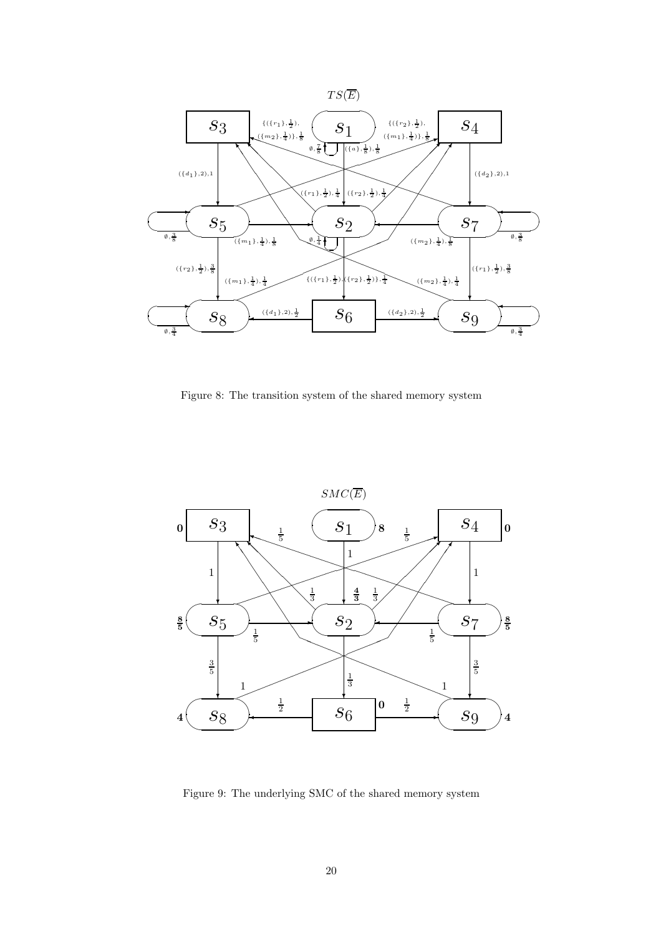

Figure 8: The transition system of the shared memory system



Figure 9: The underlying SMC of the shared memory system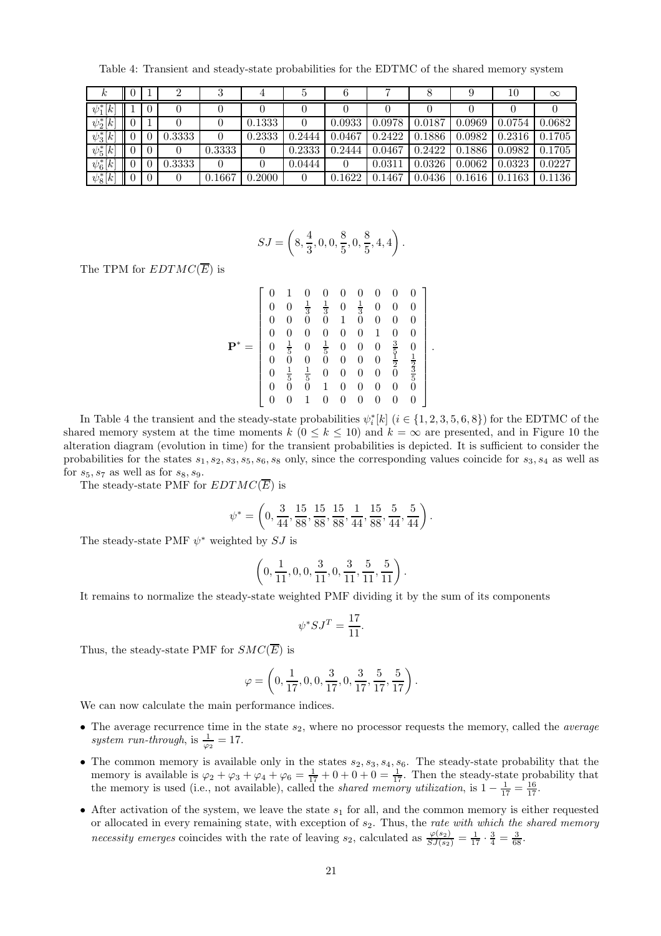Table 4: Transient and steady-state probabilities for the EDTMC of the shared memory system

| $\kappa$      | U                                       |        | Ő        | $\pm$  | Ð        | 6      |        |        |        | 10     | $\infty$ |
|---------------|-----------------------------------------|--------|----------|--------|----------|--------|--------|--------|--------|--------|----------|
| $\psi_1^*[k]$ |                                         | 0      |          |        |          |        |        |        |        |        |          |
| $\psi_2^*[k]$ |                                         |        |          | 0.1333 |          | 0.0933 | 0.0978 | 0.0187 | 0.0969 | 0.0754 | 0.0682   |
| $\psi_3^*[k]$ |                                         | 0.3333 | $\theta$ | 0.2333 | 0.2444   | 0.0467 | 0.2422 | 0.1886 | 0.0982 | 0.2316 | 0.1705   |
| $\psi_5^*[k]$ | 0                                       | 0      | 0.3333   |        | 0.2333   | 0.2444 | 0.0467 | 0.2422 | 0.1886 | 0.0982 | 0.1705   |
| $\psi_6^*[k]$ |                                         | 0.3333 | $\theta$ |        | 0.0444   |        | 0.031  | 0.0326 | 0.0062 | 0.0323 | 0.0227   |
| $\psi_8^*[k]$ | $\overline{0}$<br>$\mathbf{\mathsf{I}}$ | 0      | 0.1667   | 0.2000 | $\theta$ | 0.1622 | 0.1467 | 0.0436 | 0.1616 | 0.1163 | 0.1136   |

$$
SJ = \left(8, \frac{4}{3}, 0, 0, \frac{8}{5}, 0, \frac{8}{5}, 4, 4\right).
$$

The TPM for  $EDTMC(\overline{E})$  is

$$
\mathbf{P}^* = \begin{bmatrix} 0 & 1 & 0 & 0 & 0 & 0 & 0 & 0 & 0 \\ 0 & 0 & \frac{1}{3} & \frac{1}{3} & 0 & \frac{1}{3} & 0 & 0 & 0 \\ 0 & 0 & 0 & 0 & 1 & 0 & 0 & 0 & 0 \\ 0 & 0 & 0 & 0 & 0 & 0 & 1 & 0 & 0 \\ 0 & \frac{1}{5} & 0 & \frac{1}{5} & 0 & 0 & 0 & \frac{3}{5} & 0 \\ 0 & 0 & 0 & 0 & 0 & 0 & 0 & \frac{1}{2} & \frac{1}{2} \\ 0 & \frac{1}{5} & \frac{1}{5} & 0 & 0 & 0 & 0 & 0 & \frac{1}{5} \\ 0 & 0 & 0 & 1 & 0 & 0 & 0 & 0 & 0 \\ 0 & 0 & 1 & 0 & 0 & 0 & 0 & 0 & 0 \end{bmatrix}
$$

.

In Table 4 the transient and the steady-state probabilities  $\psi_i^*[k]$   $(i \in \{1, 2, 3, 5, 6, 8\})$  for the EDTMC of the shared memory system at the time moments k ( $0 \leq k \leq 10$ ) and  $k = \infty$  are presented, and in Figure 10 the alteration diagram (evolution in time) for the transient probabilities is depicted. It is sufficient to consider the probabilities for the states  $s_1, s_2, s_3, s_5, s_6, s_8$  only, since the corresponding values coincide for  $s_3, s_4$  as well as for  $s_5, s_7$  as well as for  $s_8, s_9$ .

The steady-state PMF for  $EDTMC(\overline{E})$  is

$$
\psi^*=\left(0,\frac{3}{44},\frac{15}{88},\frac{15}{88},\frac{15}{88},\frac{1}{44},\frac{15}{88},\frac{5}{44},\frac{5}{44}\right).
$$

The steady-state PMF  $\psi^*$  weighted by  $SJ$  is

$$
\left(0, \frac{1}{11}, 0, 0, \frac{3}{11}, 0, \frac{3}{11}, \frac{5}{11}, \frac{5}{11}\right).
$$

It remains to normalize the steady-state weighted PMF dividing it by the sum of its components

$$
\psi^* S J^T = \frac{17}{11}.
$$

Thus, the steady-state PMF for  $SMC(\overline{E})$  is

$$
\varphi = \left(0, \frac{1}{17}, 0, 0, \frac{3}{17}, 0, \frac{3}{17}, \frac{5}{17}, \frac{5}{17}\right).
$$

We can now calculate the main performance indices.

- The average recurrence time in the state  $s_2$ , where no processor requests the memory, called the *average* system run-through, is  $\frac{1}{\varphi_2} = 17$ .
- The common memory is available only in the states  $s_2, s_3, s_4, s_6$ . The steady-state probability that the memory is available is  $\varphi_2 + \varphi_3 + \varphi_4 + \varphi_6 = \frac{1}{17} + 0 + 0 + 0 = \frac{1}{17}$ . Then the steady-state probability that the memory is used (i.e., not available), called the *shared memory utilization*, is  $1 - \frac{1}{17} = \frac{16}{17}$ .
- After activation of the system, we leave the state  $s_1$  for all, and the common memory is either requested or allocated in every remaining state, with exception of  $s_2$ . Thus, the rate with which the shared memory necessity emerges coincides with the rate of leaving  $s_2$ , calculated as  $\frac{\varphi(s_2)}{SJ(s_2)} = \frac{1}{17} \cdot \frac{3}{4} = \frac{3}{68}$ .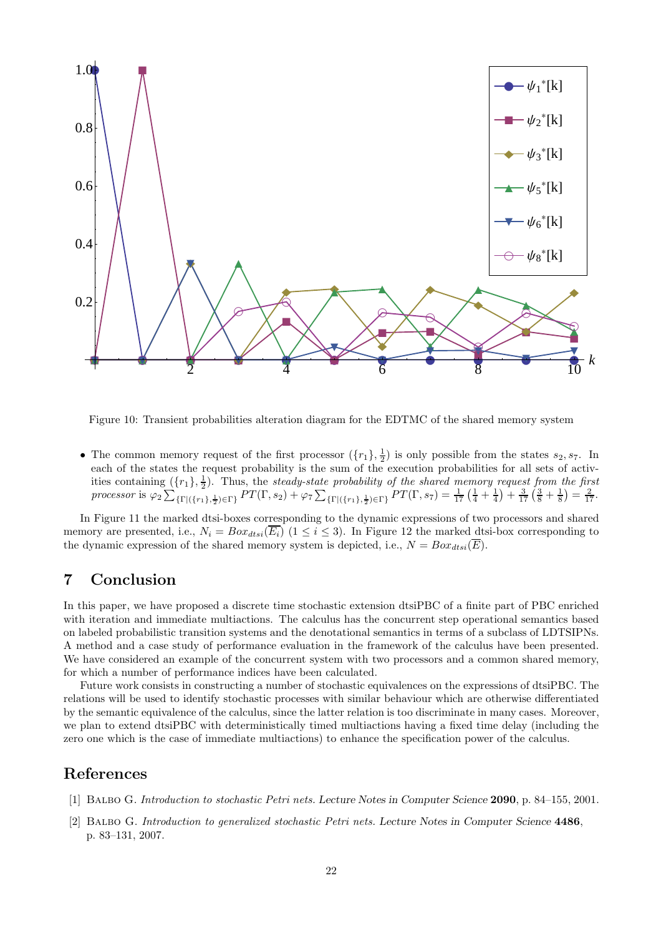

Figure 10: Transient probabilities alteration diagram for the EDTMC of the shared memory system

• The common memory request of the first processor  $(\lbrace r_1 \rbrace, \frac{1}{2})$  is only possible from the states  $s_2, s_7$ . In each of the states the request probability is the sum of the execution probabilities for all sets of activities containing  $(\lbrace r_1 \rbrace, \frac{1}{2})$ . Thus, the steady-state probability of the shared memory request from the first processor is  $\varphi_2 \sum_{\{\Gamma | (\{r_1\},\frac{1}{2}) \in \Gamma\}} PT(\Gamma,s_2) + \varphi_7 \sum_{\{\Gamma | (\{r_1\},\frac{1}{2}) \in \Gamma\}} PT(\Gamma,s_7) = \frac{1}{17} \left(\frac{1}{4} + \frac{1}{4}\right) + \frac{3}{17} \left(\frac{3}{8} + \frac{1}{8}\right) = \frac{2}{17}$ .

In Figure 11 the marked dtsi-boxes corresponding to the dynamic expressions of two processors and shared memory are presented, i.e.,  $N_i = Box_{dtsi}(\overline{E_i})$  (1  $\leq i \leq 3$ ). In Figure 12 the marked dtsi-box corresponding to the dynamic expression of the shared memory system is depicted, i.e.,  $N = Box_{dtsi}(\overline{E}).$ 

# 7 Conclusion

In this paper, we have proposed a discrete time stochastic extension dtsiPBC of a finite part of PBC enriched with iteration and immediate multiactions. The calculus has the concurrent step operational semantics based on labeled probabilistic transition systems and the denotational semantics in terms of a subclass of LDTSIPNs. A method and a case study of performance evaluation in the framework of the calculus have been presented. We have considered an example of the concurrent system with two processors and a common shared memory, for which a number of performance indices have been calculated.

Future work consists in constructing a number of stochastic equivalences on the expressions of dtsiPBC. The relations will be used to identify stochastic processes with similar behaviour which are otherwise differentiated by the semantic equivalence of the calculus, since the latter relation is too discriminate in many cases. Moreover, we plan to extend dtsiPBC with deterministically timed multiactions having a fixed time delay (including the zero one which is the case of immediate multiactions) to enhance the specification power of the calculus.

## References

- [1] Balbo G. Introduction to stochastic Petri nets. Lecture Notes in Computer Science 2090, p. 84–155, 2001.
- [2] Balbo G. Introduction to generalized stochastic Petri nets. Lecture Notes in Computer Science 4486, p. 83–131, 2007.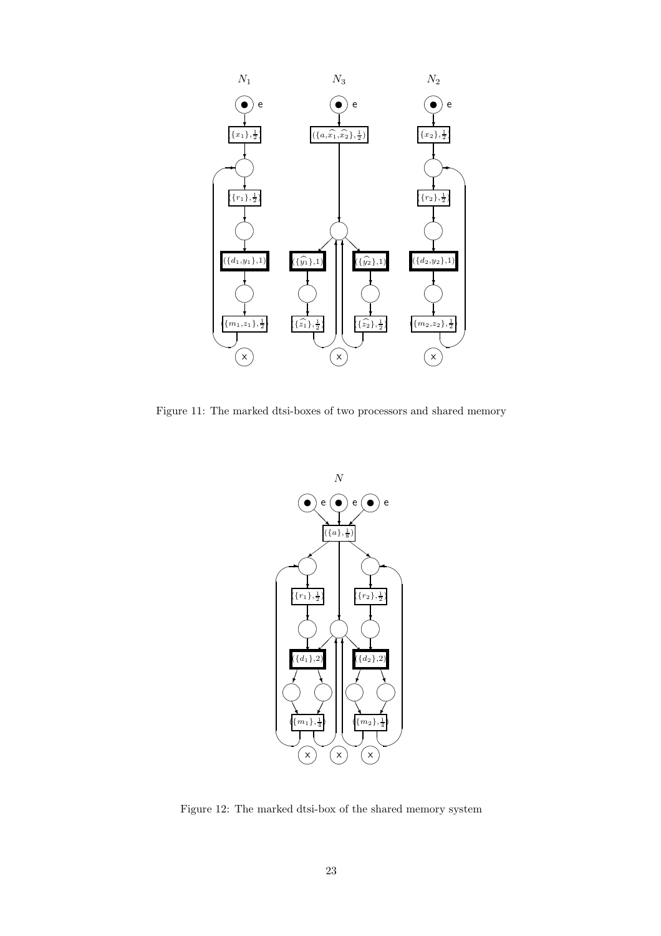

Figure 11: The marked dtsi-boxes of two processors and shared memory



Figure 12: The marked dtsi-box of the shared memory system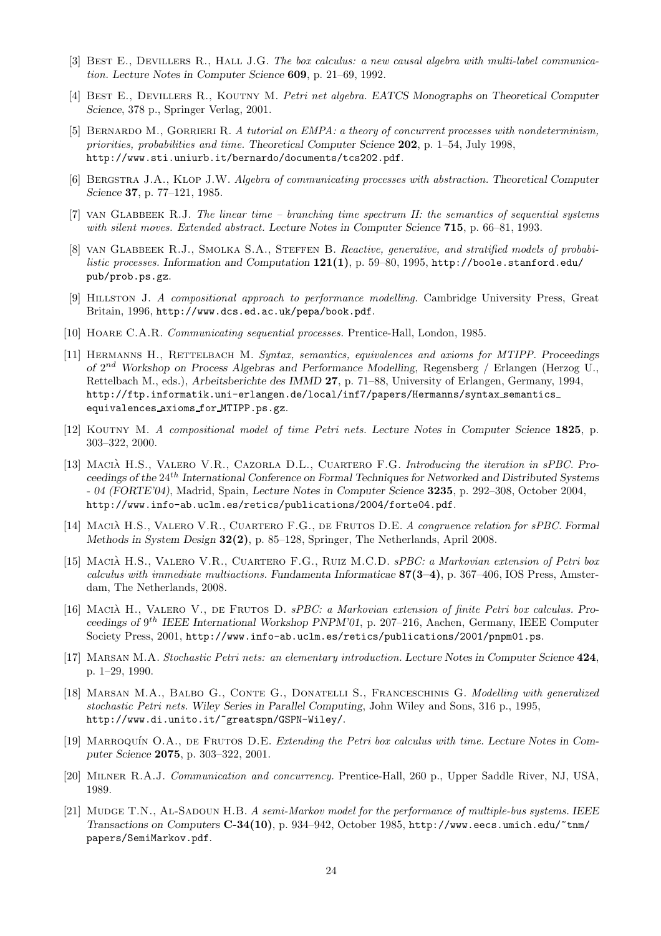- [3] BEST E., DEVILLERS R., HALL J.G. The box calculus: a new causal algebra with multi-label communication. Lecture Notes in Computer Science 609, p. 21–69, 1992.
- [4] BEST E., DEVILLERS R., KOUTNY M. Petri net algebra. EATCS Monographs on Theoretical Computer Science, 378 p., Springer Verlag, 2001.
- [5] BERNARDO M., GORRIERI R. A tutorial on EMPA: a theory of concurrent processes with nondeterminism, priorities, probabilities and time. Theoretical Computer Science 202, p. 1–54, July 1998, http://www.sti.uniurb.it/bernardo/documents/tcs202.pdf.
- [6] BERGSTRA J.A., KLOP J.W. Algebra of communicating processes with abstraction. Theoretical Computer Science 37, p. 77–121, 1985.
- [7] van Glabbeek R.J. The linear time branching time spectrum II: the semantics of sequential systems with silent moves. Extended abstract. Lecture Notes in Computer Science 715, p. 66–81, 1993.
- [8] VAN GLABBEEK R.J., SMOLKA S.A., STEFFEN B. Reactive, generative, and stratified models of probabilistic processes. Information and Computation  $121(1)$ , p. 59–80, 1995, http://boole.stanford.edu/ pub/prob.ps.gz.
- [9] Hillston J. A compositional approach to performance modelling. Cambridge University Press, Great Britain, 1996, http://www.dcs.ed.ac.uk/pepa/book.pdf.
- [10] Hoare C.A.R. Communicating sequential processes. Prentice-Hall, London, 1985.
- [11] HERMANNS H., RETTELBACH M. Syntax, semantics, equivalences and axioms for MTIPP. Proceedings of  $2^{nd}$  Workshop on Process Algebras and Performance Modelling, Regensberg / Erlangen (Herzog U., Rettelbach M., eds.), Arbeitsberichte des IMMD 27, p. 71–88, University of Erlangen, Germany, 1994, http://ftp.informatik.uni-erlangen.de/local/inf7/papers/Hermanns/syntax semantics equivalences axioms for MTIPP.ps.gz.
- [12] KOUTNY M. A compositional model of time Petri nets. Lecture Notes in Computer Science 1825, p. 303–322, 2000.
- [13] MACIÀ H.S., VALERO V.R., CAZORLA D.L., CUARTERO F.G. Introducing the iteration in sPBC. Proceedings of the 24th International Conference on Formal Techniques for Networked and Distributed Systems - 04 (FORTE'04), Madrid, Spain, Lecture Notes in Computer Science 3235, p. 292–308, October 2004, http://www.info-ab.uclm.es/retics/publications/2004/forte04.pdf.
- [14] MACIA H.S., VALERO V.R., CUARTERO F.G., DE FRUTOS D.E. A congruence relation for sPBC. Formal Methods in System Design 32(2), p. 85–128, Springer, The Netherlands, April 2008.
- [15] MACIÀ H.S., VALERO V.R., CUARTERO F.G., RUIZ M.C.D. sPBC: a Markovian extension of Petri box calculus with immediate multiactions. Fundamenta Informaticae  $87(3-4)$ , p. 367-406, IOS Press, Amsterdam, The Netherlands, 2008.
- [16] MACIA H., VALERO V., DE FRUTOS D.  $sPBC: a Markovian extension of finite Petri box calculus. Pro$ ceedings of 9<sup>th</sup> IEEE International Workshop PNPM'01, p. 207-216, Aachen, Germany, IEEE Computer Society Press, 2001, http://www.info-ab.uclm.es/retics/publications/2001/pnpm01.ps.
- [17] Marsan M.A. Stochastic Petri nets: an elementary introduction. Lecture Notes in Computer Science 424, p. 1–29, 1990.
- [18] MARSAN M.A., BALBO G., CONTE G., DONATELLI S., FRANCESCHINIS G. Modelling with generalized stochastic Petri nets. Wiley Series in Parallel Computing, John Wiley and Sons, 316 p., 1995, http://www.di.unito.it/~greatspn/GSPN-Wiley/.
- [19] MARROQUÍN O.A., DE FRUTOS D.E. Extending the Petri box calculus with time. Lecture Notes in Computer Science 2075, p. 303–322, 2001.
- [20] Milner R.A.J. Communication and concurrency. Prentice-Hall, 260 p., Upper Saddle River, NJ, USA, 1989.
- [21] MUDGE T.N., AL-SADOUN H.B. A semi-Markov model for the performance of multiple-bus systems. IEEE Transactions on Computers C-34(10), p. 934–942, October 1985, http://www.eecs.umich.edu/~tnm/ papers/SemiMarkov.pdf.